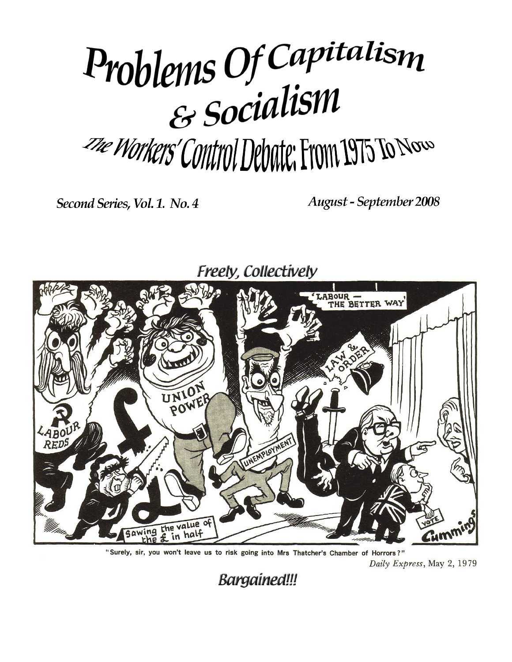# Problems Of Capitalism The Workers' Control Debate: From 1975 To Now

Second Series, Vol. 1. No. 4

**August - September 2008** 

Freely, Collectively



"Surely, sir, you won't leave us to risk going into Mrs Thatcher's Chamber of Horrors?" Daily Express, May 2, 1979

Bargained!!!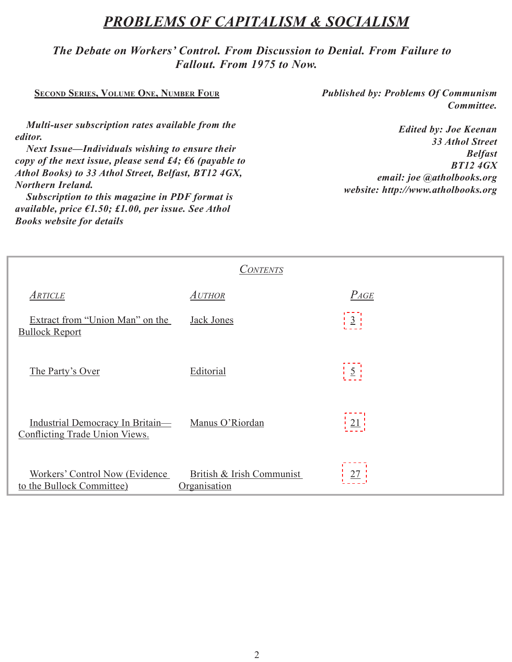# *Problems of Capitalism & Socialism*

*The Debate on Workers' Control. From Discussion to Denial. From Failure to Fallout. From 1975 to Now.*

*Multi-user subscription rates available from the editor.*

*Next Issue—Individuals wishing to ensure their copy of the next issue, please send £4; €6 (payable to Athol Books) to 33 Athol Street, Belfast, BT12 4GX, Northern Ireland.*

*Subscription to this magazine in PDF format is available, price €1.50; £1.00, per issue. See Athol Books website for details*

**Published by: Problems Of Communism** *Committee.*

> *Edited by: Joe Keenan 33 Athol Street Belfast BT12 4GX email: joe @atholbooks.org website: http://www.atholbooks.org*

| <b>CONTENTS</b>                                                    |                                           |                 |
|--------------------------------------------------------------------|-------------------------------------------|-----------------|
| <b>ARTICLE</b>                                                     | Author                                    | $P_{AGE}$       |
| Extract from "Union Man" on the<br><b>Bullock Report</b>           | Jack Jones                                | $\underline{3}$ |
| The Party's Over                                                   | Editorial                                 | $\overline{5}$  |
| Industrial Democracy In Britain-<br>Conflicting Trade Union Views. | Manus O'Riordan                           | 21              |
| Workers' Control Now (Evidence)<br>to the Bullock Committee)       | British & Irish Communist<br>Organisation | 27              |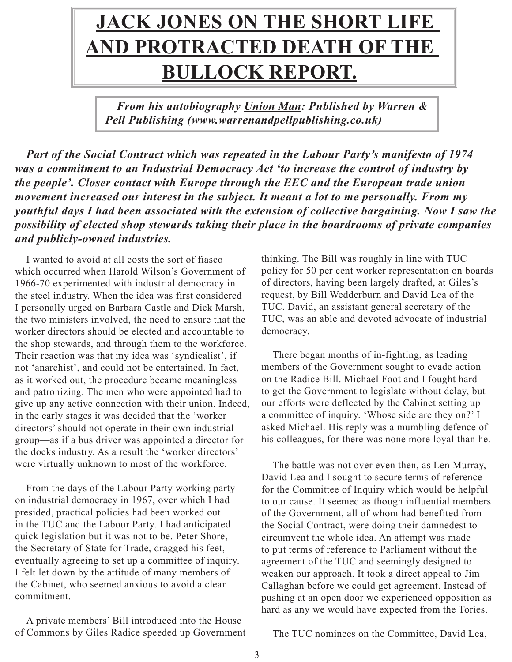# <span id="page-2-0"></span>**Jack Jones On The Short Life And Protracted Death Of The Bullock Report.**

*From his autobiography Union Man: Published by Warren & Pell Publishing (www.warrenandpellpublishing.co.uk)*

*Part of the Social Contract which was repeated in the Labour Party's manifesto of 1974 was a commitment to an Industrial Democracy Act 'to increase the control of industry by the people'. Closer contact with Europe through the EEC and the European trade union movement increased our interest in the subject. It meant a lot to me personally. From my youthful days I had been associated with the extension of collective bargaining. Now I saw the possibility of elected shop stewards taking their place in the boardrooms of private companies and publicly-owned industries.*

I wanted to avoid at all costs the sort of fiasco which occurred when Harold Wilson's Government of 1966-70 experimented with industrial democracy in the steel industry. When the idea was first considered I personally urged on Barbara Castle and Dick Marsh, the two ministers involved, the need to ensure that the worker directors should be elected and accountable to the shop stewards, and through them to the workforce. Their reaction was that my idea was 'syndicalist', if not 'anarchist', and could not be entertained. In fact, as it worked out, the procedure became meaningless and patronizing. The men who were appointed had to give up any active connection with their union. Indeed, in the early stages it was decided that the 'worker directors' should not operate in their own industrial group—as if a bus driver was appointed a director for the docks industry. As a result the 'worker directors' were virtually unknown to most of the workforce.

From the days of the Labour Party working party on industrial democracy in 1967, over which I had presided, practical policies had been worked out in the TUC and the Labour Party. I had anticipated quick legislation but it was not to be. Peter Shore, the Secretary of State for Trade, dragged his feet, eventually agreeing to set up a committee of inquiry. I felt let down by the attitude of many members of the Cabinet, who seemed anxious to avoid a clear commitment.

A private members' Bill introduced into the House of Commons by Giles Radice speeded up Government

thinking. The Bill was roughly in line with TUC policy for 50 per cent worker representation on boards of directors, having been largely drafted, at Giles's request, by Bill Wedderburn and David Lea of the TUC. David, an assistant general secretary of the TUC, was an able and devoted advocate of industrial democracy.

There began months of in-fighting, as leading members of the Government sought to evade action on the Radice Bill. Michael Foot and I fought hard to get the Government to legislate without delay, but our efforts were deflected by the Cabinet setting up a committee of inquiry. 'Whose side are they on?' I asked Michael. His reply was a mumbling defence of his colleagues, for there was none more loyal than he.

The battle was not over even then, as Len Murray, David Lea and I sought to secure terms of reference for the Committee of Inquiry which would be helpful to our cause. It seemed as though influential members of the Government, all of whom had benefited from the Social Contract, were doing their damnedest to circumvent the whole idea. An attempt was made to put terms of reference to Parliament without the agreement of the TUC and seemingly designed to weaken our approach. It took a direct appeal to Jim Callaghan before we could get agreement. Instead of pushing at an open door we experienced opposition as hard as any we would have expected from the Tories.

The TUC nominees on the Committee, David Lea,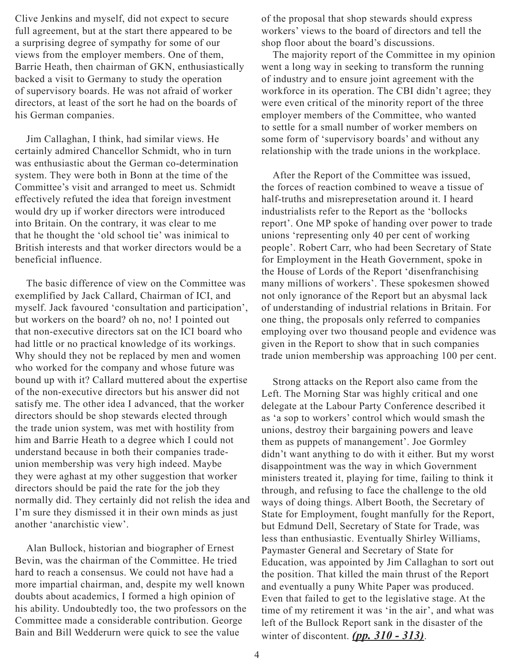Clive Jenkins and myself, did not expect to secure full agreement, but at the start there appeared to be a surprising degree of sympathy for some of our views from the employer members. One of them, Barrie Heath, then chairman of GKN, enthusiastically backed a visit to Germany to study the operation of supervisory boards. He was not afraid of worker directors, at least of the sort he had on the boards of his German companies.

Jim Callaghan, I think, had similar views. He certainly admired Chancellor Schmidt, who in turn was enthusiastic about the German co-determination system. They were both in Bonn at the time of the Committee's visit and arranged to meet us. Schmidt effectively refuted the idea that foreign investment would dry up if worker directors were introduced into Britain. On the contrary, it was clear to me that he thought the 'old school tie' was inimical to British interests and that worker directors would be a beneficial influence.

The basic difference of view on the Committee was exemplified by Jack Callard, Chairman of ICI, and myself. Jack favoured 'consultation and participation', but workers on the board? oh no, no! I pointed out that non-executive directors sat on the ICI board who had little or no practical knowledge of its workings. Why should they not be replaced by men and women who worked for the company and whose future was bound up with it? Callard muttered about the expertise of the non-executive directors but his answer did not satisfy me. The other idea I advanced, that the worker directors should be shop stewards elected through the trade union system, was met with hostility from him and Barrie Heath to a degree which I could not understand because in both their companies tradeunion membership was very high indeed. Maybe they were aghast at my other suggestion that worker directors should be paid the rate for the job they normally did. They certainly did not relish the idea and I'm sure they dismissed it in their own minds as just another 'anarchistic view'.

Alan Bullock, historian and biographer of Ernest Bevin, was the chairman of the Committee. He tried hard to reach a consensus. We could not have had a more impartial chairman, and, despite my well known doubts about academics, I formed a high opinion of his ability. Undoubtedly too, the two professors on the Committee made a considerable contribution. George Bain and Bill Wedderurn were quick to see the value

of the proposal that shop stewards should express workers' views to the board of directors and tell the shop floor about the board's discussions.

The majority report of the Committee in my opinion went a long way in seeking to transform the running of industry and to ensure joint agreement with the workforce in its operation. The CBI didn't agree; they were even critical of the minority report of the three employer members of the Committee, who wanted to settle for a small number of worker members on some form of 'supervisory boards' and without any relationship with the trade unions in the workplace.

After the Report of the Committee was issued, the forces of reaction combined to weave a tissue of half-truths and misrepresetation around it. I heard industrialists refer to the Report as the 'bollocks report'. One MP spoke of handing over power to trade unions 'representing only 40 per cent of working people'. Robert Carr, who had been Secretary of State for Employment in the Heath Government, spoke in the House of Lords of the Report 'disenfranchising many millions of workers'. These spokesmen showed not only ignorance of the Report but an abysmal lack of understanding of industrial relations in Britain. For one thing, the proposals only referred to companies employing over two thousand people and evidence was given in the Report to show that in such companies trade union membership was approaching 100 per cent.

Strong attacks on the Report also came from the Left. The Morning Star was highly critical and one delegate at the Labour Party Conference described it as 'a sop to workers' control which would smash the unions, destroy their bargaining powers and leave them as puppets of manangement'. Joe Gormley didn't want anything to do with it either. But my worst disappointment was the way in which Government ministers treated it, playing for time, failing to think it through, and refusing to face the challenge to the old ways of doing things. Albert Booth, the Secretary of State for Employment, fought manfully for the Report, but Edmund Dell, Secretary of State for Trade, was less than enthusiastic. Eventually Shirley Williams, Paymaster General and Secretary of State for Education, was appointed by Jim Callaghan to sort out the position. That killed the main thrust of the Report and eventually a puny White Paper was produced. Even that failed to get to the legislative stage. At the time of my retirement it was 'in the air', and what was left of the Bullock Report sank in the disaster of the winter of discontent. *(pp. 310 - 313)*.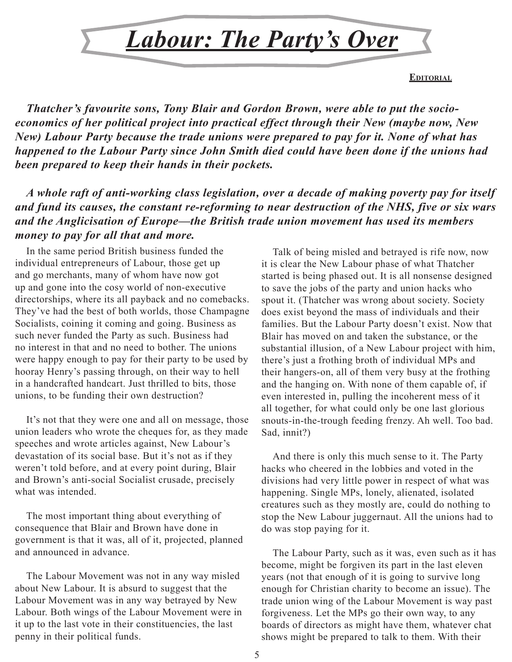<span id="page-4-0"></span>

#### **Editorial**

*Thatcher's favourite sons, Tony Blair and Gordon Brown, were able to put the socioeconomics of her political project into practical effect through their New (maybe now, New New) Labour Party because the trade unions were prepared to pay for it. None of what has happened to the Labour Party since John Smith died could have been done if the unions had been prepared to keep their hands in their pockets.* 

*A whole raft of anti-working class legislation, over a decade of making poverty pay for itself and fund its causes, the constant re-reforming to near destruction of the NHS, five or six wars and the Anglicisation of Europe—the British trade union movement has used its members money to pay for all that and more.* 

In the same period British business funded the individual entrepreneurs of Labour, those get up and go merchants, many of whom have now got up and gone into the cosy world of non-executive directorships, where its all payback and no comebacks. They've had the best of both worlds, those Champagne Socialists, coining it coming and going. Business as such never funded the Party as such. Business had no interest in that and no need to bother. The unions were happy enough to pay for their party to be used by hooray Henry's passing through, on their way to hell in a handcrafted handcart. Just thrilled to bits, those unions, to be funding their own destruction?

It's not that they were one and all on message, those union leaders who wrote the cheques for, as they made speeches and wrote articles against, New Labour's devastation of its social base. But it's not as if they weren't told before, and at every point during, Blair and Brown's anti-social Socialist crusade, precisely what was intended.

The most important thing about everything of consequence that Blair and Brown have done in government is that it was, all of it, projected, planned and announced in advance.

The Labour Movement was not in any way misled about New Labour. It is absurd to suggest that the Labour Movement was in any way betrayed by New Labour. Both wings of the Labour Movement were in it up to the last vote in their constituencies, the last penny in their political funds.

Talk of being misled and betrayed is rife now, now it is clear the New Labour phase of what Thatcher started is being phased out. It is all nonsense designed to save the jobs of the party and union hacks who spout it. (Thatcher was wrong about society. Society does exist beyond the mass of individuals and their families. But the Labour Party doesn't exist. Now that Blair has moved on and taken the substance, or the substantial illusion, of a New Labour project with him, there's just a frothing broth of individual MPs and their hangers-on, all of them very busy at the frothing and the hanging on. With none of them capable of, if even interested in, pulling the incoherent mess of it all together, for what could only be one last glorious snouts-in-the-trough feeding frenzy. Ah well. Too bad. Sad, innit?)

And there is only this much sense to it. The Party hacks who cheered in the lobbies and voted in the divisions had very little power in respect of what was happening. Single MPs, lonely, alienated, isolated creatures such as they mostly are, could do nothing to stop the New Labour juggernaut. All the unions had to do was stop paying for it.

The Labour Party, such as it was, even such as it has become, might be forgiven its part in the last eleven years (not that enough of it is going to survive long enough for Christian charity to become an issue). The trade union wing of the Labour Movement is way past forgiveness. Let the MPs go their own way, to any boards of directors as might have them, whatever chat shows might be prepared to talk to them. With their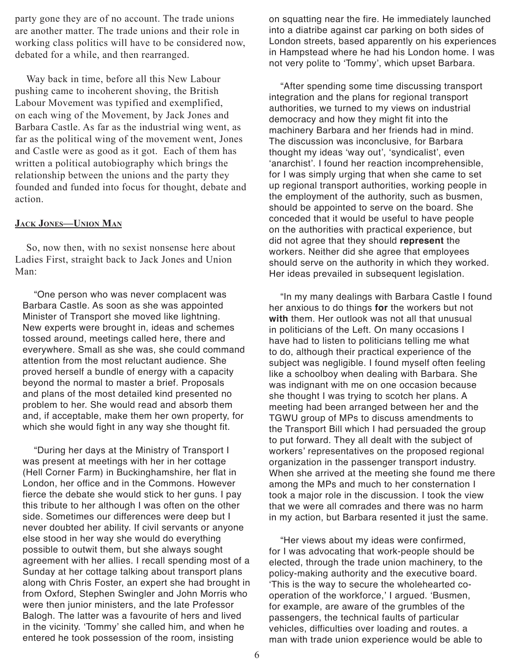party gone they are of no account. The trade unions are another matter. The trade unions and their role in working class politics will have to be considered now, debated for a while, and then rearranged.

Way back in time, before all this New Labour pushing came to incoherent shoving, the British Labour Movement was typified and exemplified, on each wing of the Movement, by Jack Jones and Barbara Castle. As far as the industrial wing went, as far as the political wing of the movement went, Jones and Castle were as good as it got. Each of them has written a political autobiography which brings the relationship between the unions and the party they founded and funded into focus for thought, debate and action.

#### **Jack Jones—Union Man**

So, now then, with no sexist nonsense here about Ladies First, straight back to Jack Jones and Union Man:

"One person who was never complacent was Barbara Castle. As soon as she was appointed Minister of Transport she moved like lightning. New experts were brought in, ideas and schemes tossed around, meetings called here, there and everywhere. Small as she was, she could command attention from the most reluctant audience. She proved herself a bundle of energy with a capacity beyond the normal to master a brief. Proposals and plans of the most detailed kind presented no problem to her. She would read and absorb them and, if acceptable, make them her own property, for which she would fight in any way she thought fit.

"During her days at the Ministry of Transport I was present at meetings with her in her cottage (Hell Corner Farm) in Buckinghamshire, her flat in London, her office and in the Commons. However fierce the debate she would stick to her guns. I pay this tribute to her although I was often on the other side. Sometimes our differences were deep but I never doubted her ability. If civil servants or anyone else stood in her way she would do everything possible to outwit them, but she always sought agreement with her allies. I recall spending most of a Sunday at her cottage talking about transport plans along with Chris Foster, an expert she had brought in from Oxford, Stephen Swingler and John Morris who were then junior ministers, and the late Professor Balogh. The latter was a favourite of hers and lived in the vicinity. 'Tommy' she called him, and when he entered he took possession of the room, insisting

on squatting near the fire. He immediately launched into a diatribe against car parking on both sides of London streets, based apparently on his experiences in Hampstead where he had his London home. I was not very polite to 'Tommy', which upset Barbara.

"After spending some time discussing transport integration and the plans for regional transport authorities, we turned to my views on industrial democracy and how they might fit into the machinery Barbara and her friends had in mind. The discussion was inconclusive, for Barbara thought my ideas 'way out', 'syndicalist', even 'anarchist'. I found her reaction incomprehensible, for I was simply urging that when she came to set up regional transport authorities, working people in the employment of the authority, such as busmen, should be appointed to serve on the board. She conceded that it would be useful to have people on the authorities with practical experience, but did not agree that they should **represent** the workers. Neither did she agree that employees should serve on the authority in which they worked. Her ideas prevailed in subsequent legislation.

"In my many dealings with Barbara Castle I found her anxious to do things **for** the workers but not **with** them. Her outlook was not all that unusual in politicians of the Left. On many occasions I have had to listen to politicians telling me what to do, although their practical experience of the subject was negligible. I found myself often feeling like a schoolboy when dealing with Barbara. She was indignant with me on one occasion because she thought I was trying to scotch her plans. A meeting had been arranged between her and the TGWU group of MPs to discuss amendments to the Transport Bill which I had persuaded the group to put forward. They all dealt with the subject of workers' representatives on the proposed regional organization in the passenger transport industry. When she arrived at the meeting she found me there among the MPs and much to her consternation I took a major role in the discussion. I took the view that we were all comrades and there was no harm in my action, but Barbara resented it just the same.

"Her views about my ideas were confirmed, for I was advocating that work-people should be elected, through the trade union machinery, to the policy-making authority and the executive board. 'This is the way to secure the wholehearted cooperation of the workforce,' I argued. 'Busmen, for example, are aware of the grumbles of the passengers, the technical faults of particular vehicles, difficulties over loading and routes. a man with trade union experience would be able to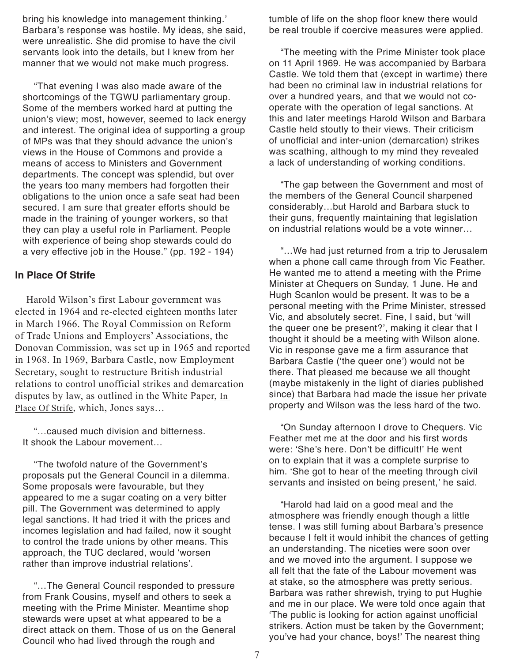bring his knowledge into management thinking.' Barbara's response was hostile. My ideas, she said, were unrealistic. She did promise to have the civil servants look into the details, but I knew from her manner that we would not make much progress.

"That evening I was also made aware of the shortcomings of the TGWU parliamentary group. Some of the members worked hard at putting the union's view; most, however, seemed to lack energy and interest. The original idea of supporting a group of MPs was that they should advance the union's views in the House of Commons and provide a means of access to Ministers and Government departments. The concept was splendid, but over the years too many members had forgotten their obligations to the union once a safe seat had been secured. I am sure that greater efforts should be made in the training of younger workers, so that they can play a useful role in Parliament. People with experience of being shop stewards could do a very effective job in the House." (pp. 192 - 194)

#### **In Place Of Strife**

Harold Wilson's first Labour government was elected in 1964 and re-elected eighteen months later in March 1966. The Royal Commission on Reform of Trade Unions and Employers' Associations, the Donovan Commission, was set up in 1965 and reported in 1968. In 1969, Barbara Castle, now Employment Secretary, sought to restructure British industrial relations to control unofficial strikes and demarcation disputes by law, as outlined in the White Paper, In Place Of Strife, which, Jones says…

"…caused much division and bitterness. It shook the Labour movement…

"The twofold nature of the Government's proposals put the General Council in a dilemma. Some proposals were favourable, but they appeared to me a sugar coating on a very bitter pill. The Government was determined to apply legal sanctions. It had tried it with the prices and incomes legislation and had failed, now it sought to control the trade unions by other means. This approach, the TUC declared, would 'worsen rather than improve industrial relations'.

"…The General Council responded to pressure from Frank Cousins, myself and others to seek a meeting with the Prime Minister. Meantime shop stewards were upset at what appeared to be a direct attack on them. Those of us on the General Council who had lived through the rough and

tumble of life on the shop floor knew there would be real trouble if coercive measures were applied.

"The meeting with the Prime Minister took place on 11 April 1969. He was accompanied by Barbara Castle. We told them that (except in wartime) there had been no criminal law in industrial relations for over a hundred years, and that we would not cooperate with the operation of legal sanctions. At this and later meetings Harold Wilson and Barbara Castle held stoutly to their views. Their criticism of unofficial and inter-union (demarcation) strikes was scathing, although to my mind they revealed a lack of understanding of working conditions.

"The gap between the Government and most of the members of the General Council sharpened considerably…but Harold and Barbara stuck to their guns, frequently maintaining that legislation on industrial relations would be a vote winner…

"…We had just returned from a trip to Jerusalem when a phone call came through from Vic Feather. He wanted me to attend a meeting with the Prime Minister at Chequers on Sunday, 1 June. He and Hugh Scanlon would be present. It was to be a personal meeting with the Prime Minister, stressed Vic, and absolutely secret. Fine, I said, but 'will the queer one be present?', making it clear that I thought it should be a meeting with Wilson alone. Vic in response gave me a firm assurance that Barbara Castle ('the queer one') would not be there. That pleased me because we all thought (maybe mistakenly in the light of diaries published since) that Barbara had made the issue her private property and Wilson was the less hard of the two.

"On Sunday afternoon I drove to Chequers. Vic Feather met me at the door and his first words were: 'She's here. Don't be difficult!' He went on to explain that it was a complete surprise to him. 'She got to hear of the meeting through civil servants and insisted on being present,' he said.

"Harold had laid on a good meal and the atmosphere was friendly enough though a little tense. I was still fuming about Barbara's presence because I felt it would inhibit the chances of getting an understanding. The niceties were soon over and we moved into the argument. I suppose we all felt that the fate of the Labour movement was at stake, so the atmosphere was pretty serious. Barbara was rather shrewish, trying to put Hughie and me in our place. We were told once again that 'The public is looking for action against unofficial strikers. Action must be taken by the Government; you've had your chance, boys!' The nearest thing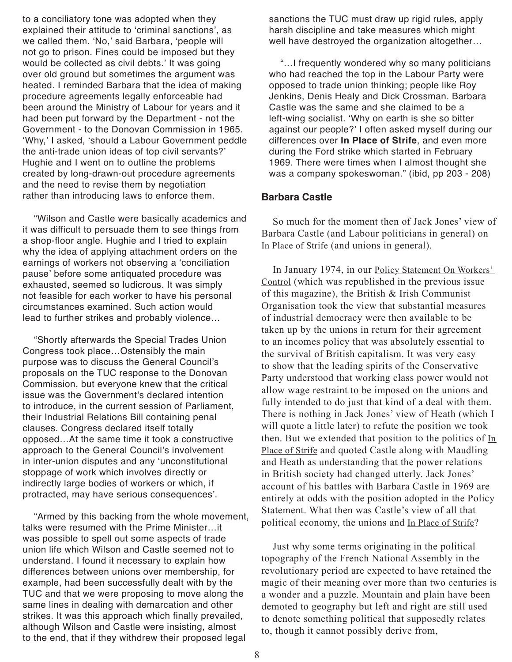to a conciliatory tone was adopted when they explained their attitude to 'criminal sanctions', as we called them. 'No,' said Barbara, 'people will not go to prison. Fines could be imposed but they would be collected as civil debts.' It was going over old ground but sometimes the argument was heated. I reminded Barbara that the idea of making procedure agreements legally enforceable had been around the Ministry of Labour for years and it had been put forward by the Department - not the Government - to the Donovan Commission in 1965. 'Why,' I asked, 'should a Labour Government peddle the anti-trade union ideas of top civil servants?' Hughie and I went on to outline the problems created by long-drawn-out procedure agreements and the need to revise them by negotiation rather than introducing laws to enforce them.

"Wilson and Castle were basically academics and it was difficult to persuade them to see things from a shop-floor angle. Hughie and I tried to explain why the idea of applying attachment orders on the earnings of workers not observing a 'conciliation pause' before some antiquated procedure was exhausted, seemed so ludicrous. It was simply not feasible for each worker to have his personal circumstances examined. Such action would lead to further strikes and probably violence…

"Shortly afterwards the Special Trades Union Congress took place…Ostensibly the main purpose was to discuss the General Council's proposals on the TUC response to the Donovan Commission, but everyone knew that the critical issue was the Government's declared intention to introduce, in the current session of Parliament, their Industrial Relations Bill containing penal clauses. Congress declared itself totally opposed…At the same time it took a constructive approach to the General Council's involvement in inter-union disputes and any 'unconstitutional stoppage of work which involves directly or indirectly large bodies of workers or which, if protracted, may have serious consequences'.

"Armed by this backing from the whole movement, talks were resumed with the Prime Minister…it was possible to spell out some aspects of trade union life which Wilson and Castle seemed not to understand. I found it necessary to explain how differences between unions over membership, for example, had been successfully dealt with by the TUC and that we were proposing to move along the same lines in dealing with demarcation and other strikes. It was this approach which finally prevailed, although Wilson and Castle were insisting, almost to the end, that if they withdrew their proposed legal

sanctions the TUC must draw up rigid rules, apply harsh discipline and take measures which might well have destroyed the organization altogether…

"…I frequently wondered why so many politicians who had reached the top in the Labour Party were opposed to trade union thinking; people like Roy Jenkins, Denis Healy and Dick Crossman. Barbara Castle was the same and she claimed to be a left-wing socialist. 'Why on earth is she so bitter against our people?' I often asked myself during our differences over **In Place of Strife**, and even more during the Ford strike which started in February 1969. There were times when I almost thought she was a company spokeswoman." (ibid, pp 203 - 208)

#### **Barbara Castle**

So much for the moment then of Jack Jones' view of Barbara Castle (and Labour politicians in general) on In Place of Strife (and unions in general).

In January 1974, in our Policy Statement On Workers' Control (which was republished in the previous issue of this magazine), the British & Irish Communist Organisation took the view that substantial measures of industrial democracy were then available to be taken up by the unions in return for their agreement to an incomes policy that was absolutely essential to the survival of British capitalism. It was very easy to show that the leading spirits of the Conservative Party understood that working class power would not allow wage restraint to be imposed on the unions and fully intended to do just that kind of a deal with them. There is nothing in Jack Jones' view of Heath (which I will quote a little later) to refute the position we took then. But we extended that position to the politics of In Place of Strife and quoted Castle along with Maudling and Heath as understanding that the power relations in British society had changed utterly. Jack Jones' account of his battles with Barbara Castle in 1969 are entirely at odds with the position adopted in the Policy Statement. What then was Castle's view of all that political economy, the unions and In Place of Strife?

Just why some terms originating in the political topography of the French National Assembly in the revolutionary period are expected to have retained the magic of their meaning over more than two centuries is a wonder and a puzzle. Mountain and plain have been demoted to geography but left and right are still used to denote something political that supposedly relates to, though it cannot possibly derive from,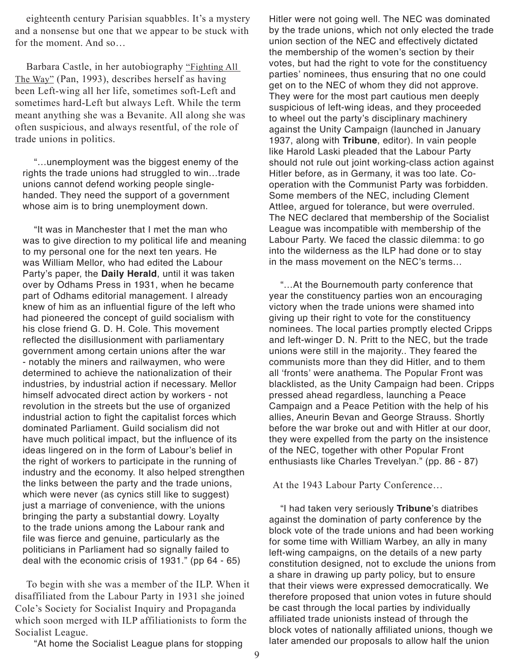eighteenth century Parisian squabbles. It's a mystery and a nonsense but one that we appear to be stuck with for the moment. And so…

Barbara Castle, in her autobiography "Fighting All The Way" (Pan, 1993), describes herself as having been Left-wing all her life, sometimes soft-Left and sometimes hard-Left but always Left. While the term meant anything she was a Bevanite. All along she was often suspicious, and always resentful, of the role of trade unions in politics.

"…unemployment was the biggest enemy of the rights the trade unions had struggled to win…trade unions cannot defend working people singlehanded. They need the support of a government whose aim is to bring unemployment down.

"It was in Manchester that I met the man who was to give direction to my political life and meaning to my personal one for the next ten years. He was William Mellor, who had edited the Labour Party's paper, the **Daily Herald**, until it was taken over by Odhams Press in 1931, when he became part of Odhams editorial management. I already knew of him as an influential figure of the left who had pioneered the concept of guild socialism with his close friend G. D. H. Cole. This movement reflected the disillusionment with parliamentary government among certain unions after the war - notably the miners and railwaymen, who were determined to achieve the nationalization of their industries, by industrial action if necessary. Mellor himself advocated direct action by workers - not revolution in the streets but the use of organized industrial action to fight the capitalist forces which dominated Parliament. Guild socialism did not have much political impact, but the influence of its ideas lingered on in the form of Labour's belief in the right of workers to participate in the running of industry and the economy. It also helped strengthen the links between the party and the trade unions, which were never (as cynics still like to suggest) just a marriage of convenience, with the unions bringing the party a substantial dowry. Loyalty to the trade unions among the Labour rank and file was fierce and genuine, particularly as the politicians in Parliament had so signally failed to deal with the economic crisis of 1931." (pp 64 - 65)

To begin with she was a member of the ILP. When it disaffiliated from the Labour Party in 1931 she joined Cole's Society for Socialist Inquiry and Propaganda which soon merged with ILP affiliationists to form the Socialist League.

"At home the Socialist League plans for stopping

Hitler were not going well. The NEC was dominated by the trade unions, which not only elected the trade union section of the NEC and effectively dictated the membership of the women's section by their votes, but had the right to vote for the constituency parties' nominees, thus ensuring that no one could get on to the NEC of whom they did not approve. They were for the most part cautious men deeply suspicious of left-wing ideas, and they proceeded to wheel out the party's disciplinary machinery against the Unity Campaign (launched in January 1937, along with **Tribune**, editor). In vain people like Harold Laski pleaded that the Labour Party should not rule out joint working-class action against Hitler before, as in Germany, it was too late. Cooperation with the Communist Party was forbidden. Some members of the NEC, including Clement Attlee, argued for tolerance, but were overruled. The NEC declared that membership of the Socialist League was incompatible with membership of the Labour Party. We faced the classic dilemma: to go into the wilderness as the ILP had done or to stay in the mass movement on the NEC's terms…

"…At the Bournemouth party conference that year the constituency parties won an encouraging victory when the trade unions were shamed into giving up their right to vote for the constituency nominees. The local parties promptly elected Cripps and left-winger D. N. Pritt to the NEC, but the trade unions were still in the majority.. They feared the communists more than they did Hitler, and to them all 'fronts' were anathema. The Popular Front was blacklisted, as the Unity Campaign had been. Cripps pressed ahead regardless, launching a Peace Campaign and a Peace Petition with the help of his allies, Aneurin Bevan and George Strauss. Shortly before the war broke out and with Hitler at our door, they were expelled from the party on the insistence of the NEC, together with other Popular Front enthusiasts like Charles Trevelyan." (pp. 86 - 87)

At the 1943 Labour Party Conference…

"I had taken very seriously **Tribune**'s diatribes against the domination of party conference by the block vote of the trade unions and had been working for some time with William Warbey, an ally in many left-wing campaigns, on the details of a new party constitution designed, not to exclude the unions from a share in drawing up party policy, but to ensure that their views were expressed democratically. We therefore proposed that union votes in future should be cast through the local parties by individually affiliated trade unionists instead of through the block votes of nationally affiliated unions, though we later amended our proposals to allow half the union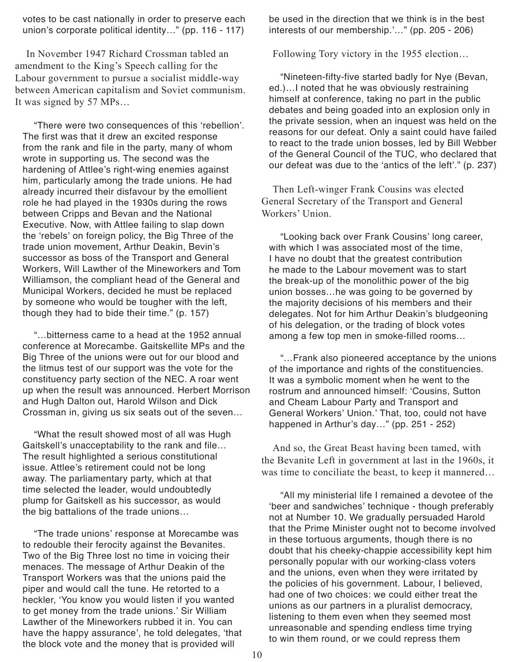votes to be cast nationally in order to preserve each union's corporate political identity…" (pp. 116 - 117)

In November 1947 Richard Crossman tabled an amendment to the King's Speech calling for the Labour government to pursue a socialist middle-way between American capitalism and Soviet communism. It was signed by 57 MPs…

"There were two consequences of this 'rebellion'. The first was that it drew an excited response from the rank and file in the party, many of whom wrote in supporting us. The second was the hardening of Attlee's right-wing enemies against him, particularly among the trade unions. He had already incurred their disfavour by the emollient role he had played in the 1930s during the rows between Cripps and Bevan and the National Executive. Now, with Attlee failing to slap down the 'rebels' on foreign policy, the Big Three of the trade union movement, Arthur Deakin, Bevin's successor as boss of the Transport and General Workers, Will Lawther of the Mineworkers and Tom Williamson, the compliant head of the General and Municipal Workers, decided he must be replaced by someone who would be tougher with the left, though they had to bide their time." (p. 157)

"…bitterness came to a head at the 1952 annual conference at Morecambe. Gaitskellite MPs and the Big Three of the unions were out for our blood and the litmus test of our support was the vote for the constituency party section of the NEC. A roar went up when the result was announced. Herbert Morrison and Hugh Dalton out, Harold Wilson and Dick Crossman in, giving us six seats out of the seven…

"What the result showed most of all was Hugh Gaitskell's unacceptability to the rank and file… The result highlighted a serious constitutional issue. Attlee's retirement could not be long away. The parliamentary party, which at that time selected the leader, would undoubtedly plump for Gaitskell as his successor, as would the big battalions of the trade unions…

"The trade unions' response at Morecambe was to redouble their ferocity against the Bevanites. Two of the Big Three lost no time in voicing their menaces. The message of Arthur Deakin of the Transport Workers was that the unions paid the piper and would call the tune. He retorted to a heckler, 'You know you would listen if you wanted to get money from the trade unions.' Sir William Lawther of the Mineworkers rubbed it in. You can have the happy assurance', he told delegates, 'that the block vote and the money that is provided will

be used in the direction that we think is in the best interests of our membership.'…" (pp. 205 - 206)

Following Tory victory in the 1955 election…

"Nineteen-fifty-five started badly for Nye (Bevan, ed.)…I noted that he was obviously restraining himself at conference, taking no part in the public debates and being goaded into an explosion only in the private session, when an inquest was held on the reasons for our defeat. Only a saint could have failed to react to the trade union bosses, led by Bill Webber of the General Council of the TUC, who declared that our defeat was due to the 'antics of the left'." (p. 237)

Then Left-winger Frank Cousins was elected General Secretary of the Transport and General Workers' Union.

"Looking back over Frank Cousins' long career, with which I was associated most of the time, I have no doubt that the greatest contribution he made to the Labour movement was to start the break-up of the monolithic power of the big union bosses…he was going to be governed by the majority decisions of his members and their delegates. Not for him Arthur Deakin's bludgeoning of his delegation, or the trading of block votes among a few top men in smoke-filled rooms…

"…Frank also pioneered acceptance by the unions of the importance and rights of the constituencies. It was a symbolic moment when he went to the rostrum and announced himself: 'Cousins, Sutton and Cheam Labour Party and Transport and General Workers' Union.' That, too, could not have happened in Arthur's day..." (pp. 251 - 252)

And so, the Great Beast having been tamed, with the Bevanite Left in government at last in the 1960s, it was time to conciliate the beast, to keep it mannered…

"All my ministerial life I remained a devotee of the 'beer and sandwiches' technique - though preferably not at Number 10. We gradually persuaded Harold that the Prime Minister ought not to become involved in these tortuous arguments, though there is no doubt that his cheeky-chappie accessibility kept him personally popular with our working-class voters and the unions, even when they were irritated by the policies of his government. Labour, I believed, had one of two choices: we could either treat the unions as our partners in a pluralist democracy, listening to them even when they seemed most unreasonable and spending endless time trying to win them round, or we could repress them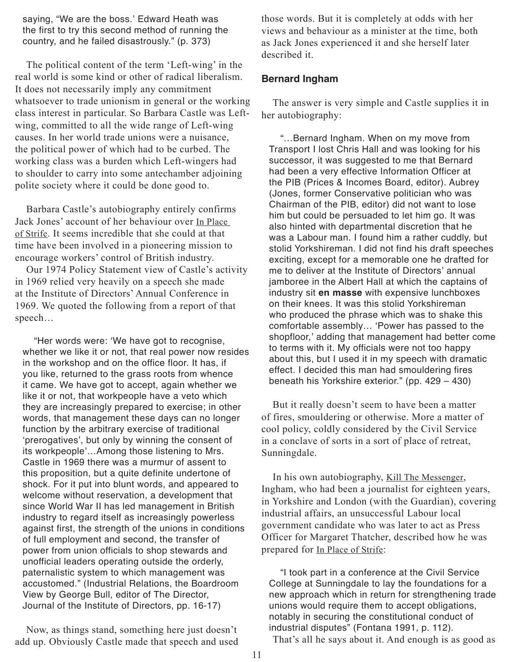saying, "We are the boss.' Edward Heath was the first to try this second method of running the country, and he failed disastrously." (p. 373)

The political content of the term 'Left-wing' in the real world is some kind or other of radical liberalism. It does not necessarily imply any commitment whatsoever to trade unionism in general or the working class interest in particular. So Barbara Castle was Leftwing, committed to all the wide range of Left-wing causes. In her world trade unions were a nuisance, the political power of which had to be curbed. The working class was a burden which Left-wingers had to shoulder to carry into some antechamber adjoining polite society where it could be done good to.

Barbara Castle's autobiography entirely confirms Jack Jones' account of her behaviour over In Place of Strife. It seems incredible that she could at that time have been involved in a pioneering mission to encourage workers' control of British industry.

Our 1974 Policy Statement view of Castle's activity in 1969 relied very heavily on a speech she made at the Institute of Directors' Annual Conference in 1969. We quoted the following from a report of that speech…

"Her words were: 'We have got to recognise, whether we like it or not, that real power now resides in the workshop and on the office floor. It has, if you like, returned to the grass roots from whence it came. We have got to accept, again whether we like it or not, that workpeople have a veto which they are increasingly prepared to exercise; in other words, that management these days can no longer function by the arbitrary exercise of traditional 'prerogatives', but only by winning the consent of its workpeople'…Among those listening to Mrs. Castle in 1969 there was a murmur of assent to this proposition, but a quite definite undertone of shock. For it put into blunt words, and appeared to welcome without reservation, a development that since World War II has led management in British industry to regard itself as increasingly powerless against first, the strength of the unions in conditions of full employment and second, the transfer of power from union officials to shop stewards and unofficial leaders operating outside the orderly, paternalistic system to which management was accustomed." (Industrial Relations, the Boardroom View by George Bull, editor of The Director, Journal of the Institute of Directors, pp. 16-17)

Now, as things stand, something here just doesn't add up. Obviously Castle made that speech and used those words. But it is completely at odds with her views and behaviour as a minister at the time, both as Jack Jones experienced it and she herself later described it.

#### **Bernard Ingham**

The answer is very simple and Castle supplies it in her autobiography:

"…Bernard Ingham. When on my move from Transport I lost Chris Hall and was looking for his successor, it was suggested to me that Bernard had been a very effective Information Officer at the PIB (Prices & Incomes Board, editor). Aubrey (Jones, former Conservative politician who was Chairman of the PIB, editor) did not want to lose him but could be persuaded to let him go. It was also hinted with departmental discretion that he was a Labour man. I found him a rather cuddly, but stolid Yorkshireman. I did not find his draft speeches exciting, except for a memorable one he drafted for me to deliver at the Institute of Directors' annual jamboree in the Albert Hall at which the captains of industry sit **en masse** with expensive lunchboxes on their knees. It was this stolid Yorkshireman who produced the phrase which was to shake this comfortable assembly… 'Power has passed to the shopfloor,' adding that management had better come to terms with it. My officials were not too happy about this, but I used it in my speech with dramatic effect. I decided this man had smouldering fires beneath his Yorkshire exterior." (pp. 429 – 430)

But it really doesn't seem to have been a matter of fires, smouldering or otherwise. More a matter of cool policy, coldly considered by the Civil Service in a conclave of sorts in a sort of place of retreat, Sunningdale.

In his own autobiography, Kill The Messenger, Ingham, who had been a journalist for eighteen years, in Yorkshire and London (with the Guardian), covering industrial affairs, an unsuccessful Labour local government candidate who was later to act as Press Officer for Margaret Thatcher, described how he was prepared for In Place of Strife:

"I took part in a conference at the Civil Service College at Sunningdale to lay the foundations for a new approach which in return for strengthening trade unions would require them to accept obligations, notably in securing the constitutional conduct of industrial disputes" (Fontana 1991, p. 112). That's all he says about it. And enough is as good as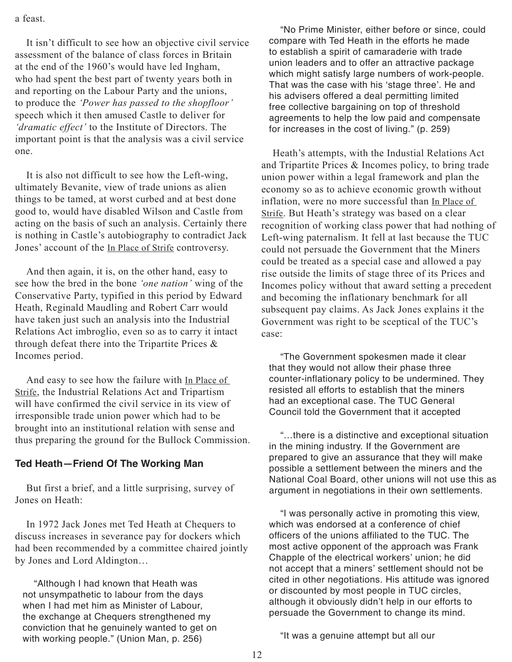a feast.

It isn't difficult to see how an objective civil service assessment of the balance of class forces in Britain at the end of the 1960's would have led Ingham, who had spent the best part of twenty years both in and reporting on the Labour Party and the unions, to produce the *'Power has passed to the shopfloor'* speech which it then amused Castle to deliver for *'dramatic effect'* to the Institute of Directors. The important point is that the analysis was a civil service one.

It is also not difficult to see how the Left-wing, ultimately Bevanite, view of trade unions as alien things to be tamed, at worst curbed and at best done good to, would have disabled Wilson and Castle from acting on the basis of such an analysis. Certainly there is nothing in Castle's autobiography to contradict Jack Jones' account of the In Place of Strife controversy.

And then again, it is, on the other hand, easy to see how the bred in the bone *'one nation'* wing of the Conservative Party, typified in this period by Edward Heath, Reginald Maudling and Robert Carr would have taken just such an analysis into the Industrial Relations Act imbroglio, even so as to carry it intact through defeat there into the Tripartite Prices & Incomes period.

And easy to see how the failure with In Place of Strife, the Industrial Relations Act and Tripartism will have confirmed the civil service in its view of irresponsible trade union power which had to be brought into an institutional relation with sense and thus preparing the ground for the Bullock Commission.

# **Ted Heath—Friend Of The Working Man**

But first a brief, and a little surprising, survey of Jones on Heath:

In 1972 Jack Jones met Ted Heath at Chequers to discuss increases in severance pay for dockers which had been recommended by a committee chaired jointly by Jones and Lord Aldington…

"Although I had known that Heath was not unsympathetic to labour from the days when I had met him as Minister of Labour, the exchange at Chequers strengthened my conviction that he genuinely wanted to get on with working people." (Union Man, p. 256)

"No Prime Minister, either before or since, could compare with Ted Heath in the efforts he made to establish a spirit of camaraderie with trade union leaders and to offer an attractive package which might satisfy large numbers of work-people. That was the case with his 'stage three'. He and his advisers offered a deal permitting limited free collective bargaining on top of threshold agreements to help the low paid and compensate for increases in the cost of living." (p. 259)

Heath's attempts, with the Industial Relations Act and Tripartite Prices & Incomes policy, to bring trade union power within a legal framework and plan the economy so as to achieve economic growth without inflation, were no more successful than In Place of Strife. But Heath's strategy was based on a clear recognition of working class power that had nothing of Left-wing paternalism. It fell at last because the TUC could not persuade the Government that the Miners could be treated as a special case and allowed a pay rise outside the limits of stage three of its Prices and Incomes policy without that award setting a precedent and becoming the inflationary benchmark for all subsequent pay claims. As Jack Jones explains it the Government was right to be sceptical of the TUC's case:

"The Government spokesmen made it clear that they would not allow their phase three counter-inflationary policy to be undermined. They resisted all efforts to establish that the miners had an exceptional case. The TUC General Council told the Government that it accepted

"…there is a distinctive and exceptional situation in the mining industry. If the Government are prepared to give an assurance that they will make possible a settlement between the miners and the National Coal Board, other unions will not use this as argument in negotiations in their own settlements.

"I was personally active in promoting this view, which was endorsed at a conference of chief officers of the unions affiliated to the TUC. The most active opponent of the approach was Frank Chapple of the electrical workers' union; he did not accept that a miners' settlement should not be cited in other negotiations. His attitude was ignored or discounted by most people in TUC circles, although it obviously didn't help in our efforts to persuade the Government to change its mind.

"It was a genuine attempt but all our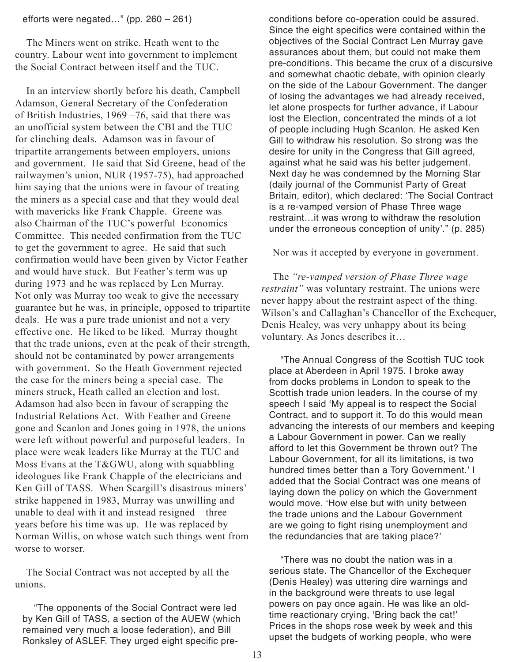#### efforts were negated…" (pp. 260 – 261)

The Miners went on strike. Heath went to the country. Labour went into government to implement the Social Contract between itself and the TUC.

In an interview shortly before his death, Campbell Adamson, General Secretary of the Confederation of British Industries, 1969 –76, said that there was an unofficial system between the CBI and the TUC for clinching deals. Adamson was in favour of tripartite arrangements between employers, unions and government. He said that Sid Greene, head of the railwaymen's union, NUR (1957-75), had approached him saying that the unions were in favour of treating the miners as a special case and that they would deal with mavericks like Frank Chapple. Greene was also Chairman of the TUC's powerful Economics Committee. This needed confirmation from the TUC to get the government to agree. He said that such confirmation would have been given by Victor Feather and would have stuck. But Feather's term was up during 1973 and he was replaced by Len Murray. Not only was Murray too weak to give the necessary guarantee but he was, in principle, opposed to tripartite deals. He was a pure trade unionist and not a very effective one. He liked to be liked. Murray thought that the trade unions, even at the peak of their strength, should not be contaminated by power arrangements with government. So the Heath Government rejected the case for the miners being a special case. The miners struck, Heath called an election and lost. Adamson had also been in favour of scrapping the Industrial Relations Act. With Feather and Greene gone and Scanlon and Jones going in 1978, the unions were left without powerful and purposeful leaders. In place were weak leaders like Murray at the TUC and Moss Evans at the T&GWU, along with squabbling ideologues like Frank Chapple of the electricians and Ken Gill of TASS. When Scargill's disastrous miners' strike happened in 1983, Murray was unwilling and unable to deal with it and instead resigned – three years before his time was up. He was replaced by Norman Willis, on whose watch such things went from worse to worser.

The Social Contract was not accepted by all the unions.

"The opponents of the Social Contract were led by Ken Gill of TASS, a section of the AUEW (which remained very much a loose federation), and Bill Ronksley of ASLEF. They urged eight specific preconditions before co-operation could be assured. Since the eight specifics were contained within the objectives of the Social Contract Len Murray gave assurances about them, but could not make them pre-conditions. This became the crux of a discursive and somewhat chaotic debate, with opinion clearly on the side of the Labour Government. The danger of losing the advantages we had already received, let alone prospects for further advance, if Labour lost the Election, concentrated the minds of a lot of people including Hugh Scanlon. He asked Ken Gill to withdraw his resolution. So strong was the desire for unity in the Congress that Gill agreed, against what he said was his better judgement. Next day he was condemned by the Morning Star (daily journal of the Communist Party of Great Britain, editor), which declared: 'The Social Contract is a re-vamped version of Phase Three wage restraint…it was wrong to withdraw the resolution under the erroneous conception of unity'." (p. 285)

Nor was it accepted by everyone in government.

The *"re-vamped version of Phase Three wage restraint"* was voluntary restraint. The unions were never happy about the restraint aspect of the thing. Wilson's and Callaghan's Chancellor of the Exchequer, Denis Healey, was very unhappy about its being voluntary. As Jones describes it…

"The Annual Congress of the Scottish TUC took place at Aberdeen in April 1975. I broke away from docks problems in London to speak to the Scottish trade union leaders. In the course of my speech I said 'My appeal is to respect the Social Contract, and to support it. To do this would mean advancing the interests of our members and keeping a Labour Government in power. Can we really afford to let this Government be thrown out? The Labour Government, for all its limitations, is two hundred times better than a Tory Government.' I added that the Social Contract was one means of laying down the policy on which the Government would move. 'How else but with unity between the trade unions and the Labour Government are we going to fight rising unemployment and the redundancies that are taking place?'

"There was no doubt the nation was in a serious state. The Chancellor of the Exchequer (Denis Healey) was uttering dire warnings and in the background were threats to use legal powers on pay once again. He was like an oldtime reactionary crying, 'Bring back the cat!' Prices in the shops rose week by week and this upset the budgets of working people, who were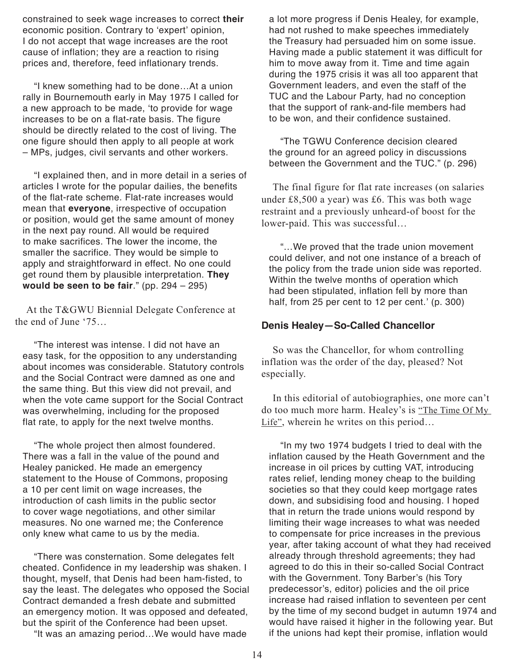constrained to seek wage increases to correct **their** economic position. Contrary to 'expert' opinion, I do not accept that wage increases are the root cause of inflation; they are a reaction to rising prices and, therefore, feed inflationary trends.

"I knew something had to be done…At a union rally in Bournemouth early in May 1975 I called for a new approach to be made, 'to provide for wage increases to be on a flat-rate basis. The figure should be directly related to the cost of living. The one figure should then apply to all people at work – MPs, judges, civil servants and other workers.

"I explained then, and in more detail in a series of articles I wrote for the popular dailies, the benefits of the flat-rate scheme. Flat-rate increases would mean that **everyone**, irrespective of occupation or position, would get the same amount of money in the next pay round. All would be required to make sacrifices. The lower the income, the smaller the sacrifice. They would be simple to apply and straightforward in effect. No one could get round them by plausible interpretation. **They would be seen to be fair**." (pp. 294 – 295)

At the T&GWU Biennial Delegate Conference at the end of June '75…

"The interest was intense. I did not have an easy task, for the opposition to any understanding about incomes was considerable. Statutory controls and the Social Contract were damned as one and the same thing. But this view did not prevail, and when the vote came support for the Social Contract was overwhelming, including for the proposed flat rate, to apply for the next twelve months.

"The whole project then almost foundered. There was a fall in the value of the pound and Healey panicked. He made an emergency statement to the House of Commons, proposing a 10 per cent limit on wage increases, the introduction of cash limits in the public sector to cover wage negotiations, and other similar measures. No one warned me; the Conference only knew what came to us by the media.

"There was consternation. Some delegates felt cheated. Confidence in my leadership was shaken. I thought, myself, that Denis had been ham-fisted, to say the least. The delegates who opposed the Social Contract demanded a fresh debate and submitted an emergency motion. It was opposed and defeated, but the spirit of the Conference had been upset.

"It was an amazing period…We would have made

a lot more progress if Denis Healey, for example, had not rushed to make speeches immediately the Treasury had persuaded him on some issue. Having made a public statement it was difficult for him to move away from it. Time and time again during the 1975 crisis it was all too apparent that Government leaders, and even the staff of the TUC and the Labour Party, had no conception that the support of rank-and-file members had to be won, and their confidence sustained.

"The TGWU Conference decision cleared the ground for an agreed policy in discussions between the Government and the TUC." (p. 296)

The final figure for flat rate increases (on salaries under £8,500 a year) was £6. This was both wage restraint and a previously unheard-of boost for the lower-paid. This was successful…

"…We proved that the trade union movement could deliver, and not one instance of a breach of the policy from the trade union side was reported. Within the twelve months of operation which had been stipulated, inflation fell by more than half, from 25 per cent to 12 per cent.' (p. 300)

#### **Denis Healey—So-Called Chancellor**

So was the Chancellor, for whom controlling inflation was the order of the day, pleased? Not especially.

In this editorial of autobiographies, one more can't do too much more harm. Healey's is "The Time Of My Life", wherein he writes on this period…

"In my two 1974 budgets I tried to deal with the inflation caused by the Heath Government and the increase in oil prices by cutting VAT, introducing rates relief, lending money cheap to the building societies so that they could keep mortgage rates down, and subsidising food and housing. I hoped that in return the trade unions would respond by limiting their wage increases to what was needed to compensate for price increases in the previous year, after taking account of what they had received already through threshold agreements; they had agreed to do this in their so-called Social Contract with the Government. Tony Barber's (his Tory predecessor's, editor) policies and the oil price increase had raised inflation to seventeen per cent by the time of my second budget in autumn 1974 and would have raised it higher in the following year. But if the unions had kept their promise, inflation would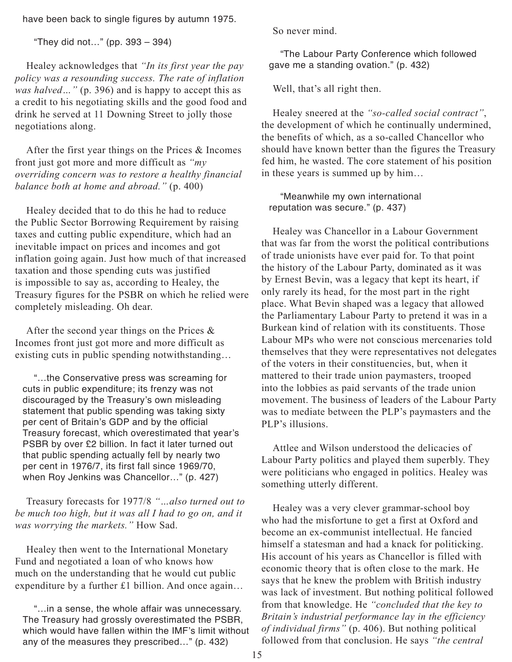have been back to single figures by autumn 1975.

"They did not…" (pp. 393 – 394)

Healey acknowledges that *"In its first year the pay policy was a resounding success. The rate of inflation was halved…"* (p. 396) and is happy to accept this as a credit to his negotiating skills and the good food and drink he served at 11 Downing Street to jolly those negotiations along.

After the first year things on the Prices & Incomes front just got more and more difficult as *"my overriding concern was to restore a healthy financial balance both at home and abroad."* (p. 400)

Healey decided that to do this he had to reduce the Public Sector Borrowing Requirement by raising taxes and cutting public expenditure, which had an inevitable impact on prices and incomes and got inflation going again. Just how much of that increased taxation and those spending cuts was justified is impossible to say as, according to Healey, the Treasury figures for the PSBR on which he relied were completely misleading. Oh dear.

After the second year things on the Prices & Incomes front just got more and more difficult as existing cuts in public spending notwithstanding…

"…the Conservative press was screaming for cuts in public expenditure; its frenzy was not discouraged by the Treasury's own misleading statement that public spending was taking sixty per cent of Britain's GDP and by the official Treasury forecast, which overestimated that year's PSBR by over £2 billion. In fact it later turned out that public spending actually fell by nearly two per cent in 1976/7, its first fall since 1969/70, when Roy Jenkins was Chancellor…" (p. 427)

Treasury forecasts for 1977/8 *"…also turned out to be much too high, but it was all I had to go on, and it was worrying the markets."* How Sad.

Healey then went to the International Monetary Fund and negotiated a loan of who knows how much on the understanding that he would cut public expenditure by a further £1 billion. And once again...

"…in a sense, the whole affair was unnecessary. The Treasury had grossly overestimated the PSBR, which would have fallen within the IMF's limit without any of the measures they prescribed…" (p. 432)

So never mind.

"The Labour Party Conference which followed gave me a standing ovation." (p. 432)

Well, that's all right then.

Healey sneered at the *"so-called social contract"*, the development of which he continually undermined, the benefits of which, as a so-called Chancellor who should have known better than the figures the Treasury fed him, he wasted. The core statement of his position in these years is summed up by him…

"Meanwhile my own international reputation was secure." (p. 437)

Healey was Chancellor in a Labour Government that was far from the worst the political contributions of trade unionists have ever paid for. To that point the history of the Labour Party, dominated as it was by Ernest Bevin, was a legacy that kept its heart, if only rarely its head, for the most part in the right place. What Bevin shaped was a legacy that allowed the Parliamentary Labour Party to pretend it was in a Burkean kind of relation with its constituents. Those Labour MPs who were not conscious mercenaries told themselves that they were representatives not delegates of the voters in their constituencies, but, when it mattered to their trade union paymasters, trooped into the lobbies as paid servants of the trade union movement. The business of leaders of the Labour Party was to mediate between the PLP's paymasters and the PLP's illusions.

Attlee and Wilson understood the delicacies of Labour Party politics and played them superbly. They were politicians who engaged in politics. Healey was something utterly different.

Healey was a very clever grammar-school boy who had the misfortune to get a first at Oxford and become an ex-communist intellectual. He fancied himself a statesman and had a knack for politicking. His account of his years as Chancellor is filled with economic theory that is often close to the mark. He says that he knew the problem with British industry was lack of investment. But nothing political followed from that knowledge. He *"concluded that the key to Britain's industrial performance lay in the efficiency of individual firms"* (p. 406). But nothing political followed from that conclusion. He says *"the central*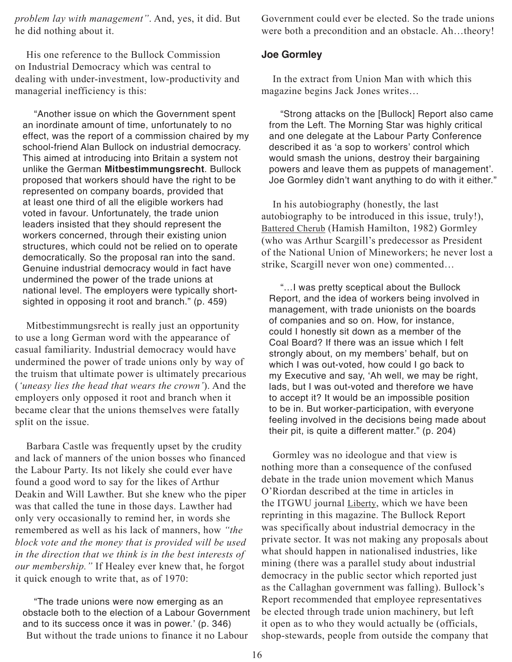*problem lay with management"*. And, yes, it did. But he did nothing about it.

His one reference to the Bullock Commission on Industrial Democracy which was central to dealing with under-investment, low-productivity and managerial inefficiency is this:

"Another issue on which the Government spent an inordinate amount of time, unfortunately to no effect, was the report of a commission chaired by my school-friend Alan Bullock on industrial democracy. This aimed at introducing into Britain a system not unlike the German **Mitbestimmungsrecht**. Bullock proposed that workers should have the right to be represented on company boards, provided that at least one third of all the eligible workers had voted in favour. Unfortunately, the trade union leaders insisted that they should represent the workers concerned, through their existing union structures, which could not be relied on to operate democratically. So the proposal ran into the sand. Genuine industrial democracy would in fact have undermined the power of the trade unions at national level. The employers were typically shortsighted in opposing it root and branch." (p. 459)

Mitbestimmungsrecht is really just an opportunity to use a long German word with the appearance of casual familiarity. Industrial democracy would have undermined the power of trade unions only by way of the truism that ultimate power is ultimately precarious (*'uneasy lies the head that wears the crown'*). And the employers only opposed it root and branch when it became clear that the unions themselves were fatally split on the issue.

Barbara Castle was frequently upset by the crudity and lack of manners of the union bosses who financed the Labour Party. Its not likely she could ever have found a good word to say for the likes of Arthur Deakin and Will Lawther. But she knew who the piper was that called the tune in those days. Lawther had only very occasionally to remind her, in words she remembered as well as his lack of manners, how *"the block vote and the money that is provided will be used in the direction that we think is in the best interests of our membership."* If Healey ever knew that, he forgot it quick enough to write that, as of 1970:

"The trade unions were now emerging as an obstacle both to the election of a Labour Government and to its success once it was in power.' (p. 346) But without the trade unions to finance it no Labour

Government could ever be elected. So the trade unions were both a precondition and an obstacle. Ah…theory!

#### **Joe Gormley**

In the extract from Union Man with which this magazine begins Jack Jones writes…

"Strong attacks on the [Bullock] Report also came from the Left. The Morning Star was highly critical and one delegate at the Labour Party Conference described it as 'a sop to workers' control which would smash the unions, destroy their bargaining powers and leave them as puppets of management'. Joe Gormley didn't want anything to do with it either."

In his autobiography (honestly, the last autobiography to be introduced in this issue, truly!), Battered Cherub (Hamish Hamilton, 1982) Gormley (who was Arthur Scargill's predecessor as President of the National Union of Mineworkers; he never lost a strike, Scargill never won one) commented…

"…I was pretty sceptical about the Bullock Report, and the idea of workers being involved in management, with trade unionists on the boards of companies and so on. How, for instance, could I honestly sit down as a member of the Coal Board? If there was an issue which I felt strongly about, on my members' behalf, but on which I was out-voted, how could I go back to my Executive and say, 'Ah well, we may be right, lads, but I was out-voted and therefore we have to accept it? It would be an impossible position to be in. But worker-participation, with everyone feeling involved in the decisions being made about their pit, is quite a different matter." (p. 204)

Gormley was no ideologue and that view is nothing more than a consequence of the confused debate in the trade union movement which Manus O'Riordan described at the time in articles in the ITGWU journal Liberty, which we have been reprinting in this magazine. The Bullock Report was specifically about industrial democracy in the private sector. It was not making any proposals about what should happen in nationalised industries, like mining (there was a parallel study about industrial democracy in the public sector which reported just as the Callaghan government was falling). Bullock's Report recommended that employee representatives be elected through trade union machinery, but left it open as to who they would actually be (officials, shop-stewards, people from outside the company that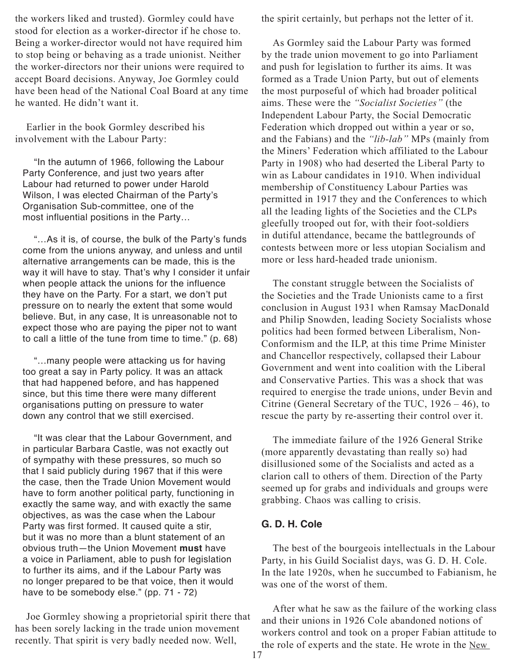the workers liked and trusted). Gormley could have stood for election as a worker-director if he chose to. Being a worker-director would not have required him to stop being or behaving as a trade unionist. Neither the worker-directors nor their unions were required to accept Board decisions. Anyway, Joe Gormley could have been head of the National Coal Board at any time he wanted. He didn't want it.

Earlier in the book Gormley described his involvement with the Labour Party:

"In the autumn of 1966, following the Labour Party Conference, and just two years after Labour had returned to power under Harold Wilson, I was elected Chairman of the Party's Organisation Sub-committee, one of the most influential positions in the Party…

"…As it is, of course, the bulk of the Party's funds come from the unions anyway, and unless and until alternative arrangements can be made, this is the way it will have to stay. That's why I consider it unfair when people attack the unions for the influence they have on the Party. For a start, we don't put pressure on to nearly the extent that some would believe. But, in any case, It is unreasonable not to expect those who are paying the piper not to want to call a little of the tune from time to time." (p. 68)

"…many people were attacking us for having too great a say in Party policy. It was an attack that had happened before, and has happened since, but this time there were many different organisations putting on pressure to water down any control that we still exercised.

"It was clear that the Labour Government, and in particular Barbara Castle, was not exactly out of sympathy with these pressures, so much so that I said publicly during 1967 that if this were the case, then the Trade Union Movement would have to form another political party, functioning in exactly the same way, and with exactly the same objectives, as was the case when the Labour Party was first formed. It caused quite a stir, but it was no more than a blunt statement of an obvious truth—the Union Movement **must** have a voice in Parliament, able to push for legislation to further its aims, and if the Labour Party was no longer prepared to be that voice, then it would have to be somebody else." (pp. 71 - 72)

Joe Gormley showing a proprietorial spirit there that has been sorely lacking in the trade union movement recently. That spirit is very badly needed now. Well,

the spirit certainly, but perhaps not the letter of it.

As Gormley said the Labour Party was formed by the trade union movement to go into Parliament and push for legislation to further its aims. It was formed as a Trade Union Party, but out of elements the most purposeful of which had broader political aims. These were the *"Socialist Societies"* (the Independent Labour Party, the Social Democratic Federation which dropped out within a year or so, and the Fabians) and the *"lib-lab"* MPs (mainly from the Miners' Federation which affiliated to the Labour Party in 1908) who had deserted the Liberal Party to win as Labour candidates in 1910. When individual membership of Constituency Labour Parties was permitted in 1917 they and the Conferences to which all the leading lights of the Societies and the CLPs gleefully trooped out for, with their foot-soldiers in dutiful attendance, became the battlegrounds of contests between more or less utopian Socialism and more or less hard-headed trade unionism.

The constant struggle between the Socialists of the Societies and the Trade Unionists came to a first conclusion in August 1931 when Ramsay MacDonald and Philip Snowden, leading Society Socialists whose politics had been formed between Liberalism, Non-Conformism and the ILP, at this time Prime Minister and Chancellor respectively, collapsed their Labour Government and went into coalition with the Liberal and Conservative Parties. This was a shock that was required to energise the trade unions, under Bevin and Citrine (General Secretary of the TUC, 1926 – 46), to rescue the party by re-asserting their control over it.

The immediate failure of the 1926 General Strike (more apparently devastating than really so) had disillusioned some of the Socialists and acted as a clarion call to others of them. Direction of the Party seemed up for grabs and individuals and groups were grabbing. Chaos was calling to crisis.

# **G. D. H. Cole**

The best of the bourgeois intellectuals in the Labour Party, in his Guild Socialist days, was G. D. H. Cole. In the late 1920s, when he succumbed to Fabianism, he was one of the worst of them.

After what he saw as the failure of the working class and their unions in 1926 Cole abandoned notions of workers control and took on a proper Fabian attitude to the role of experts and the state. He wrote in the New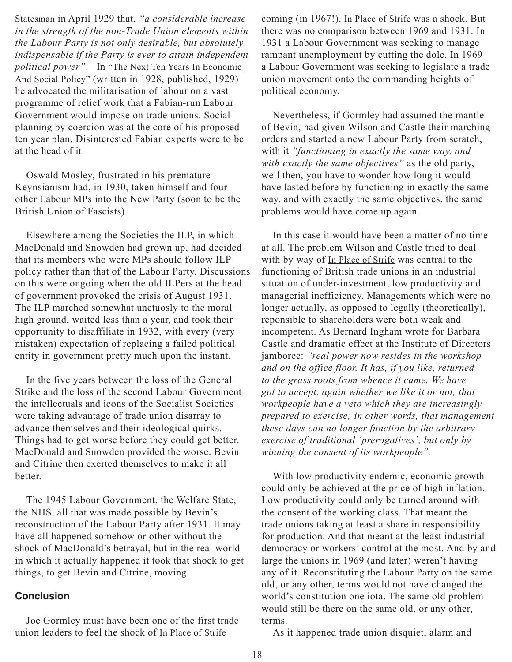Statesman in April 1929 that, *"a considerable increase in the strength of the non-Trade Union elements within the Labour Party is not only desirable, but absolutely indispensable if the Party is ever to attain independent political power"*. In "The Next Ten Years In Economic And Social Policy" (written in 1928, published, 1929) he advocated the militarisation of labour on a vast programme of relief work that a Fabian-run Labour Government would impose on trade unions. Social planning by coercion was at the core of his proposed ten year plan. Disinterested Fabian experts were to be at the head of it.

Oswald Mosley, frustrated in his premature Keynsianism had, in 1930, taken himself and four other Labour MPs into the New Party (soon to be the British Union of Fascists).

Elsewhere among the Societies the ILP, in which MacDonald and Snowden had grown up, had decided that its members who were MPs should follow ILP policy rather than that of the Labour Party. Discussions on this were ongoing when the old ILPers at the head of government provoked the crisis of August 1931. The ILP marched somewhat unctuosly to the moral high ground, waited less than a year, and took their opportunity to disaffiliate in 1932, with every (very mistaken) expectation of replacing a failed political entity in government pretty much upon the instant.

In the five years between the loss of the General Strike and the loss of the second Labour Government the intellectuals and icons of the Socialist Societies were taking advantage of trade union disarray to advance themselves and their ideological quirks. Things had to get worse before they could get better. MacDonald and Snowden provided the worse. Bevin and Citrine then exerted themselves to make it all better.

The 1945 Labour Government, the Welfare State, the NHS, all that was made possible by Bevin's reconstruction of the Labour Party after 1931. It may have all happened somehow or other without the shock of MacDonald's betrayal, but in the real world in which it actually happened it took that shock to get things, to get Bevin and Citrine, moving.

#### **Conclusion**

Joe Gormley must have been one of the first trade union leaders to feel the shock of In Place of Strife

coming (in 1967!). In Place of Strife was a shock. But there was no comparison between 1969 and 1931. In 1931 a Labour Government was seeking to manage rampant unemployment by cutting the dole. In 1969 a Labour Government was seeking to legislate a trade union movement onto the commanding heights of political economy.

Nevertheless, if Gormley had assumed the mantle of Bevin, had given Wilson and Castle their marching orders and started a new Labour Party from scratch, with it *"functioning in exactly the same way, and with exactly the same objectives"* as the old party, well then, you have to wonder how long it would have lasted before by functioning in exactly the same way, and with exactly the same objectives, the same problems would have come up again.

In this case it would have been a matter of no time at all. The problem Wilson and Castle tried to deal with by way of In Place of Strife was central to the functioning of British trade unions in an industrial situation of under-investment, low productivity and managerial inefficiency. Managements which were no longer actually, as opposed to legally (theoretically), reponsible to shareholders were both weak and incompetent. As Bernard Ingham wrote for Barbara Castle and dramatic effect at the Institute of Directors jamboree: *"real power now resides in the workshop and on the office floor. It has, if you like, returned to the grass roots from whence it came. We have got to accept, again whether we like it or not, that workpeople have a veto which they are increasingly prepared to exercise; in other words, that management these days can no longer function by the arbitrary exercise of traditional 'prerogatives', but only by winning the consent of its workpeople".*

With low productivity endemic, economic growth could only be achieved at the price of high inflation. Low productivity could only be turned around with the consent of the working class. That meant the trade unions taking at least a share in responsibility for production. And that meant at the least industrial democracy or workers' control at the most. And by and large the unions in 1969 (and later) weren't having any of it. Reconstituting the Labour Party on the same old, or any other, terms would not have changed the world's constitution one iota. The same old problem would still be there on the same old, or any other, terms.

As it happened trade union disquiet, alarm and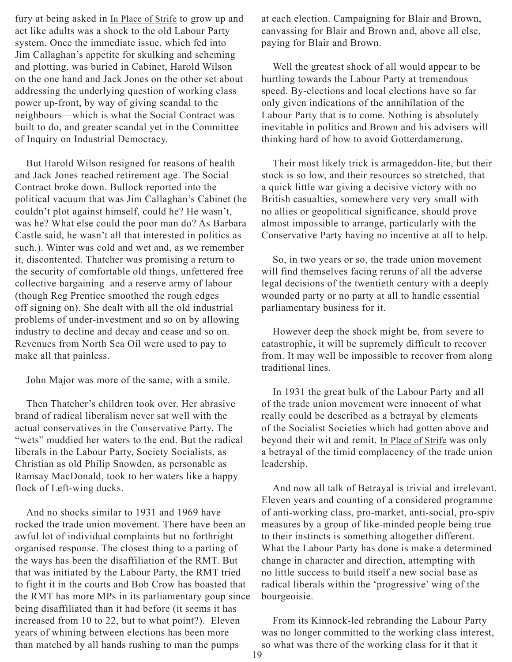fury at being asked in In Place of Strife to grow up and act like adults was a shock to the old Labour Party system. Once the immediate issue, which fed into Jim Callaghan's appetite for skulking and scheming and plotting, was buried in Cabinet, Harold Wilson on the one hand and Jack Jones on the other set about addressing the underlying question of working class power up-front, by way of giving scandal to the neighbours—which is what the Social Contract was built to do, and greater scandal yet in the Committee of Inquiry on Industrial Democracy.

But Harold Wilson resigned for reasons of health and Jack Jones reached retirement age. The Social Contract broke down. Bullock reported into the political vacuum that was Jim Callaghan's Cabinet (he couldn't plot against himself, could he? He wasn't, was he? What else could the poor man do? As Barbara Castle said, he wasn't all that interested in politics as such.). Winter was cold and wet and, as we remember it, discontented. Thatcher was promising a return to the security of comfortable old things, unfettered free collective bargaining and a reserve army of labour (though Reg Prentice smoothed the rough edges off signing on). She dealt with all the old industrial problems of under-investment and so on by allowing industry to decline and decay and cease and so on. Revenues from North Sea Oil were used to pay to make all that painless.

John Major was more of the same, with a smile.

Then Thatcher's children took over. Her abrasive brand of radical liberalism never sat well with the actual conservatives in the Conservative Party. The "wets" muddied her waters to the end. But the radical liberals in the Labour Party, Society Socialists, as Christian as old Philip Snowden, as personable as Ramsay MacDonald, took to her waters like a happy flock of Left-wing ducks.

And no shocks similar to 1931 and 1969 have rocked the trade union movement. There have been an awful lot of individual complaints but no forthright organised response. The closest thing to a parting of the ways has been the disaffiliation of the RMT. But that was initiated by the Labour Party, the RMT tried to fight it in the courts and Bob Crow has boasted that the RMT has more MPs in its parliamentary goup since being disaffiliated than it had before (it seems it has increased from 10 to 22, but to what point?). Eleven years of whining between elections has been more than matched by all hands rushing to man the pumps

at each election. Campaigning for Blair and Brown, canvassing for Blair and Brown and, above all else, paying for Blair and Brown.

Well the greatest shock of all would appear to be hurtling towards the Labour Party at tremendous speed. By-elections and local elections have so far only given indications of the annihilation of the Labour Party that is to come. Nothing is absolutely inevitable in politics and Brown and his advisers will thinking hard of how to avoid Gotterdamerung.

Their most likely trick is armageddon-lite, but their stock is so low, and their resources so stretched, that a quick little war giving a decisive victory with no British casualties, somewhere very very small with no allies or geopolitical significance, should prove almost impossible to arrange, particularly with the Conservative Party having no incentive at all to help.

So, in two years or so, the trade union movement will find themselves facing reruns of all the adverse legal decisions of the twentieth century with a deeply wounded party or no party at all to handle essential parliamentary business for it.

However deep the shock might be, from severe to catastrophic, it will be supremely difficult to recover from. It may well be impossible to recover from along traditional lines.

In 1931 the great bulk of the Labour Party and all of the trade union movement were innocent of what really could be described as a betrayal by elements of the Socialist Societies which had gotten above and beyond their wit and remit. In Place of Strife was only a betrayal of the timid complacency of the trade union leadership.

And now all talk of Betrayal is trivial and irrelevant. Eleven years and counting of a considered programme of anti-working class, pro-market, anti-social, pro-spiv measures by a group of like-minded people being true to their instincts is something altogether different. What the Labour Party has done is make a determined change in character and direction, attempting with no little success to build itself a new social base as radical liberals within the 'progressive' wing of the bourgeoisie.

From its Kinnock-led rebranding the Labour Party was no longer committed to the working class interest, so what was there of the working class for it that it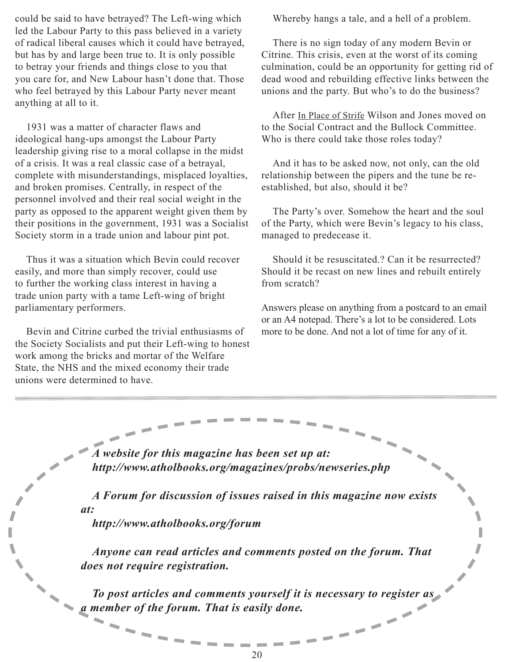could be said to have betrayed? The Left-wing which led the Labour Party to this pass believed in a variety of radical liberal causes which it could have betrayed, but has by and large been true to. It is only possible to betray your friends and things close to you that you care for, and New Labour hasn't done that. Those who feel betrayed by this Labour Party never meant anything at all to it.

1931 was a matter of character flaws and ideological hang-ups amongst the Labour Party leadership giving rise to a moral collapse in the midst of a crisis. It was a real classic case of a betrayal, complete with misunderstandings, misplaced loyalties, and broken promises. Centrally, in respect of the personnel involved and their real social weight in the party as opposed to the apparent weight given them by their positions in the government, 1931 was a Socialist Society storm in a trade union and labour pint pot.

Thus it was a situation which Bevin could recover easily, and more than simply recover, could use to further the working class interest in having a trade union party with a tame Left-wing of bright parliamentary performers.

Bevin and Citrine curbed the trivial enthusiasms of the Society Socialists and put their Left-wing to honest work among the bricks and mortar of the Welfare State, the NHS and the mixed economy their trade unions were determined to have.

Whereby hangs a tale, and a hell of a problem.

There is no sign today of any modern Bevin or Citrine. This crisis, even at the worst of its coming culmination, could be an opportunity for getting rid of dead wood and rebuilding effective links between the unions and the party. But who's to do the business?

After In Place of Strife Wilson and Jones moved on to the Social Contract and the Bullock Committee. Who is there could take those roles today?

And it has to be asked now, not only, can the old relationship between the pipers and the tune be reestablished, but also, should it be?

The Party's over. Somehow the heart and the soul of the Party, which were Bevin's legacy to his class, managed to predecease it.

Should it be resuscitated.? Can it be resurrected? Should it be recast on new lines and rebuilt entirely from scratch?

Answers please on anything from a postcard to an email or an A4 notepad. There's a lot to be considered. Lots more to be done. And not a lot of time for any of it.

*A website for this magazine has been set up at: http://www.atholbooks.org/magazines/probs/newseries.php*

*A Forum for discussion of issues raised in this magazine now exists at:*

*http://www.atholbooks.org/forum*

—————

*Anyone can read articles and comments posted on the forum. That does not require registration.* 

*To post articles and comments yourself it is necessary to register as <br>member of the forum. That is easily done. a member of the forum. That is easily done.*

- - -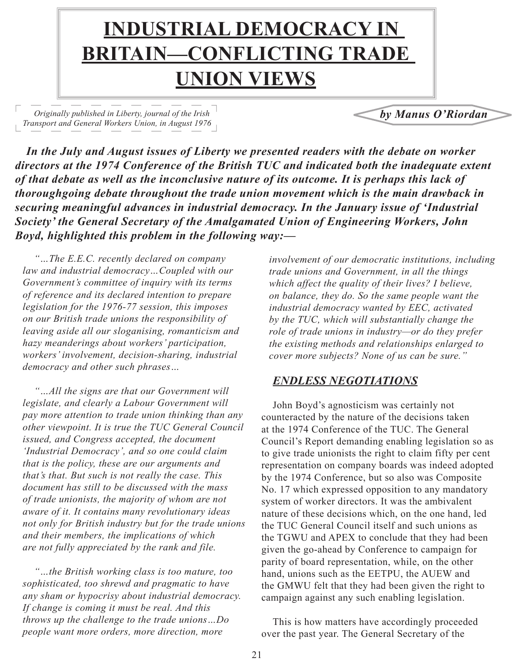# <span id="page-20-0"></span>**Industrial Democracy In Britain—Conflicting Trade Union Views**

*Originally published in Liberty, journal of the Irish Transport and General Workers Union, in August 1976*

*by Manus O'Riordan*

*In the July and August issues of Liberty we presented readers with the debate on worker directors at the 1974 Conference of the British TUC and indicated both the inadequate extent of that debate as well as the inconclusive nature of its outcome. It is perhaps this lack of thoroughgoing debate throughout the trade union movement which is the main drawback in securing meaningful advances in industrial democracy. In the January issue of 'Industrial Society' the General Secretary of the Amalgamated Union of Engineering Workers, John Boyd, highlighted this problem in the following way:—*

*"…The E.E.C. recently declared on company law and industrial democracy…Coupled with our Government's committee of inquiry with its terms of reference and its declared intention to prepare legislation for the 1976-77 session, this imposes on our British trade unions the responsibility of leaving aside all our sloganising, romanticism and hazy meanderings about workers' participation, workers' involvement, decision-sharing, industrial democracy and other such phrases…*

*"…All the signs are that our Government will legislate, and clearly a Labour Government will pay more attention to trade union thinking than any other viewpoint. It is true the TUC General Council issued, and Congress accepted, the document 'Industrial Democracy', and so one could claim that is the policy, these are our arguments and that's that. But such is not really the case. This document has still to be discussed with the mass of trade unionists, the majority of whom are not aware of it. It contains many revolutionary ideas not only for British industry but for the trade unions and their members, the implications of which are not fully appreciated by the rank and file.*

*"…the British working class is too mature, too sophisticated, too shrewd and pragmatic to have any sham or hypocrisy about industrial democracy. If change is coming it must be real. And this throws up the challenge to the trade unions…Do people want more orders, more direction, more* 

*involvement of our democratic institutions, including trade unions and Government, in all the things which affect the quality of their lives? I believe, on balance, they do. So the same people want the industrial democracy wanted by EEC, activated by the TUC, which will substantially change the role of trade unions in industry—or do they prefer the existing methods and relationships enlarged to cover more subjects? None of us can be sure."*

# *ENDLESS NEGOTIATIONS*

John Boyd's agnosticism was certainly not counteracted by the nature of the decisions taken at the 1974 Conference of the TUC. The General Council's Report demanding enabling legislation so as to give trade unionists the right to claim fifty per cent representation on company boards was indeed adopted by the 1974 Conference, but so also was Composite No. 17 which expressed opposition to any mandatory system of worker directors. It was the ambivalent nature of these decisions which, on the one hand, led the TUC General Council itself and such unions as the TGWU and APEX to conclude that they had been given the go-ahead by Conference to campaign for parity of board representation, while, on the other hand, unions such as the EETPU, the AUEW and the GMWU felt that they had been given the right to campaign against any such enabling legislation.

This is how matters have accordingly proceeded over the past year. The General Secretary of the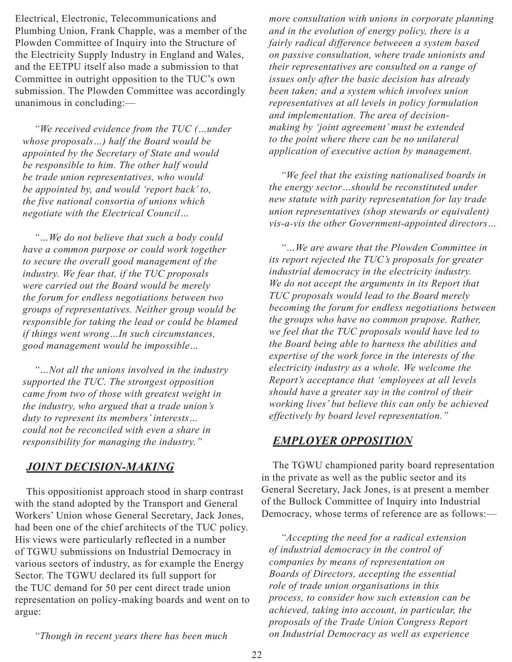Electrical, Electronic, Telecommunications and Plumbing Union, Frank Chapple, was a member of the Plowden Committee of Inquiry into the Structure of the Electricity Supply Industry in England and Wales, and the EETPU itself also made a submission to that Committee in outright opposition to the TUC's own submission. The Plowden Committee was accordingly unanimous in concluding:—

*"We received evidence from the TUC (…under whose proposals…) half the Board would be appointed by the Secretary of State and would be responsible to him. The other half would be trade union representatives, who would be appointed by, and would 'report back' to, the five national consortia of unions which negotiate with the Electrical Council…*

*"…We do not believe that such a body could have a common purpose or could work together to secure the overall good management of the industry. We fear that, if the TUC proposals were carried out the Board would be merely the forum for endless negotiations between two groups of representatives. Neither group would be responsible for taking the lead or could be blamed if things went wrong…In such circumstances, good management would be impossible…*

*"…Not all the unions involved in the industry supported the TUC. The strongest opposition came from two of those with greatest weight in the industry, who argued that a trade union's duty to represent its members' interests… could not be reconciled with even a share in responsibility for managing the industry."*

# *JOINT DECISION-MAKING*

This oppositionist approach stood in sharp contrast with the stand adopted by the Transport and General Workers' Union whose General Secretary, Jack Jones, had been one of the chief architects of the TUC policy. His views were particularly reflected in a number of TGWU submissions on Industrial Democracy in various sectors of industry, as for example the Energy Sector. The TGWU declared its full support for the TUC demand for 50 per cent direct trade union representation on policy-making boards and went on to argue:

*"Though in recent years there has been much* 

*more consultation with unions in corporate planning and in the evolution of energy policy, there is a fairly radical difference betweeen a system based on passive consultation, where trade unionists and their representatives are consulted on a range of issues only after the basic decision has already been taken; and a system which involves union representatives at all levels in policy formulation and implementation. The area of decisionmaking by 'joint agreement' must be extended to the point where there can be no unilateral application of executive action by management.*

*"We feel that the existing nationalised boards in the energy sector…should be reconstituted under new statute with parity representation for lay trade union representatives (shop stewards or equivalent) vis-a-vis the other Government-appointed directors…*

*"…We are aware that the Plowden Committee in its report rejected the TUC's proposals for greater industrial democracy in the electricity industry. We do not accept the arguments in its Report that TUC proposals would lead to the Board merely becoming the forum for endless negotiations between the groups who have no common prupose. Rather, we feel that the TUC proposals would have led to the Board being able to harness the abilities and expertise of the work force in the interests of the electricity industry as a whole. We welcome the Report's acceptance that 'employees at all levels should have a greater say in the control of their working lives' but believe this can only be achieved effectively by board level representation."*

# *EMPLOYER OPPOSITION*

The TGWU championed parity board representation in the private as well as the public sector and its General Secretary, Jack Jones, is at present a member of the Bullock Committee of Inquiry into Industrial Democracy, whose terms of reference are as follows:—

*"Accepting the need for a radical extension of industrial democracy in the control of companies by means of representation on Boards of Directors, accepting the essential role of trade union organisations in this process, to consider how such extension can be achieved, taking into account, in particular, the proposals of the Trade Union Congress Report on Industrial Democracy as well as experience*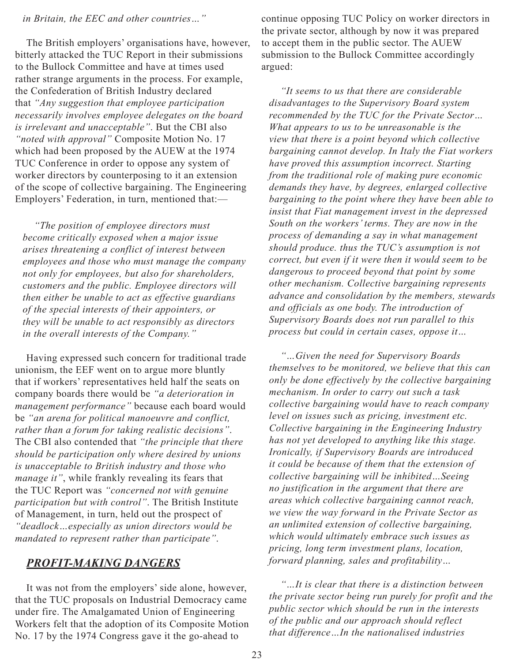#### *in Britain, the EEC and other countries…"*

The British employers' organisations have, however, bitterly attacked the TUC Report in their submissions to the Bullock Committee and have at times used rather strange arguments in the process. For example, the Confederation of British Industry declared that *"Any suggestion that employee participation necessarily involves employee delegates on the board is irrelevant and unacceptable"*. But the CBI also *"noted with approval"* Composite Motion No. 17 which had been proposed by the AUEW at the 1974 TUC Conference in order to oppose any system of worker directors by counterposing to it an extension of the scope of collective bargaining. The Engineering Employers' Federation, in turn, mentioned that:—

*"The position of employee directors must become critically exposed when a major issue arises threatening a conflict of interest between employees and those who must manage the company not only for employees, but also for shareholders, customers and the public. Employee directors will then either be unable to act as effective guardians of the special interests of their appointers, or they will be unable to act responsibly as directors in the overall interests of the Company."*

Having expressed such concern for traditional trade unionism, the EEF went on to argue more bluntly that if workers' representatives held half the seats on company boards there would be *"a deterioration in management performance"* because each board would be *"an arena for political manoeuvre and conflict, rather than a forum for taking realistic decisions"*. The CBI also contended that *"the principle that there should be participation only where desired by unions is unacceptable to British industry and those who manage it"*, while frankly revealing its fears that the TUC Report was *"concerned not with genuine participation but with control"*. The British Institute of Management, in turn, held out the prospect of *"deadlock…especially as union directors would be mandated to represent rather than participate"*.

#### *PROFIT-MAKING DANGERS*

It was not from the employers' side alone, however, that the TUC proposals on Industrial Democracy came under fire. The Amalgamated Union of Engineering Workers felt that the adoption of its Composite Motion No. 17 by the 1974 Congress gave it the go-ahead to

continue opposing TUC Policy on worker directors in the private sector, although by now it was prepared to accept them in the public sector. The AUEW submission to the Bullock Committee accordingly argued:

*"It seems to us that there are considerable disadvantages to the Supervisory Board system recommended by the TUC for the Private Sector… What appears to us to be unreasonable is the view that there is a point beyond which collective bargaining cannot develop. In Italy the Fiat workers have proved this assumption incorrect. Starting from the traditional role of making pure economic demands they have, by degrees, enlarged collective bargaining to the point where they have been able to insist that Fiat management invest in the depressed South on the workers' terms. They are now in the process of demanding a say in what management should produce. thus the TUC's assumption is not correct, but even if it were then it would seem to be dangerous to proceed beyond that point by some other mechanism. Collective bargaining represents advance and consolidation by the members, stewards and officials as one body. The introduction of Supervisory Boards does not run parallel to this process but could in certain cases, oppose it…*

*"…Given the need for Supervisory Boards themselves to be monitored, we believe that this can only be done effectively by the collective bargaining mechanism. In order to carry out such a task collective bargaining would have to reach company level on issues such as pricing, investment etc. Collective bargaining in the Engineering Industry has not yet developed to anything like this stage. Ironically, if Supervisory Boards are introduced it could be because of them that the extension of collective bargaining will be inhibited…Seeing no justification in the argument that there are areas which collective bargaining cannot reach, we view the way forward in the Private Sector as an unlimited extension of collective bargaining, which would ultimately embrace such issues as pricing, long term investment plans, location, forward planning, sales and profitability…*

*"…It is clear that there is a distinction between the private sector being run purely for profit and the public sector which should be run in the interests of the public and our approach should reflect that difference…In the nationalised industries*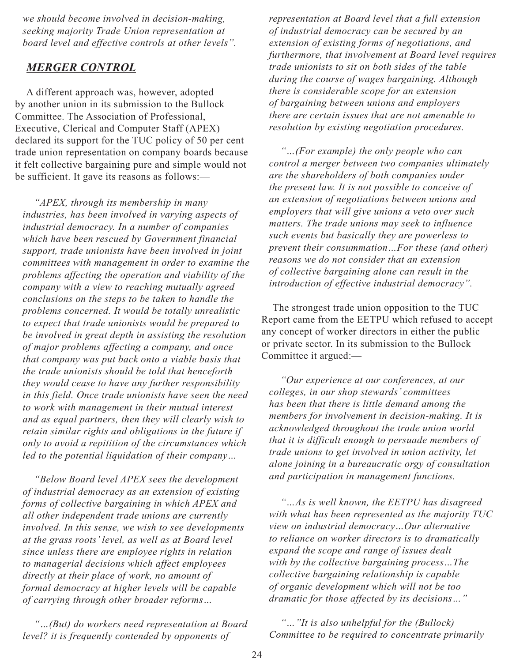*we should become involved in decision-making, seeking majority Trade Union representation at board level and effective controls at other levels".*

# *MERGER CONTROL*

A different approach was, however, adopted by another union in its submission to the Bullock Committee. The Association of Professional, Executive, Clerical and Computer Staff (APEX) declared its support for the TUC policy of 50 per cent trade union representation on company boards because it felt collective bargaining pure and simple would not be sufficient. It gave its reasons as follows:—

*"APEX, through its membership in many industries, has been involved in varying aspects of industrial democracy. In a number of companies which have been rescued by Government financial support, trade unionists have been involved in joint committees with management in order to examine the problems affecting the operation and viability of the company with a view to reaching mutually agreed conclusions on the steps to be taken to handle the problems concerned. It would be totally unrealistic to expect that trade unionists would be prepared to be involved in great depth in assisting the resolution of major problems affecting a company, and once that company was put back onto a viable basis that the trade unionists should be told that henceforth they would cease to have any further responsibility in this field. Once trade unionists have seen the need to work with management in their mutual interest and as equal partners, then they will clearly wish to retain similar rights and obligations in the future if only to avoid a repitition of the circumstances which led to the potential liquidation of their company…*

*"Below Board level APEX sees the development of industrial democracy as an extension of existing forms of collective bargaining in which APEX and all other independent trade unions are currently involved. In this sense, we wish to see developments at the grass roots' level, as well as at Board level since unless there are employee rights in relation to managerial decisions which affect employees directly at their place of work, no amount of formal democracy at higher levels will be capable of carrying through other broader reforms…*

*"…(But) do workers need representation at Board level? it is frequently contended by opponents of* 

*representation at Board level that a full extension of industrial democracy can be secured by an extension of existing forms of negotiations, and furthermore, that involvement at Board level requires trade unionists to sit on both sides of the table during the course of wages bargaining. Although there is considerable scope for an extension of bargaining between unions and employers there are certain issues that are not amenable to resolution by existing negotiation procedures.*

*"…(For example) the only people who can control a merger between two companies ultimately are the shareholders of both companies under the present law. It is not possible to conceive of an extension of negotiations between unions and employers that will give unions a veto over such matters. The trade unions may seek to influence such events but basically they are powerless to prevent their consummation…For these (and other) reasons we do not consider that an extension of collective bargaining alone can result in the introduction of effective industrial democracy".*

The strongest trade union opposition to the TUC Report came from the EETPU which refused to accept any concept of worker directors in either the public or private sector. In its submission to the Bullock Committee it argued:—

*"Our experience at our conferences, at our colleges, in our shop stewards' committees has been that there is little demand among the members for involvement in decision-making. It is acknowledged throughout the trade union world that it is difficult enough to persuade members of trade unions to get involved in union activity, let alone joining in a bureaucratic orgy of consultation and participation in management functions.*

*"…As is well known, the EETPU has disagreed with what has been represented as the majority TUC view on industrial democracy…Our alternative to reliance on worker directors is to dramatically expand the scope and range of issues dealt with by the collective bargaining process…The collective bargaining relationship is capable of organic development which will not be too dramatic for those affected by its decisions…"*

*"…"It is also unhelpful for the (Bullock) Committee to be required to concentrate primarily*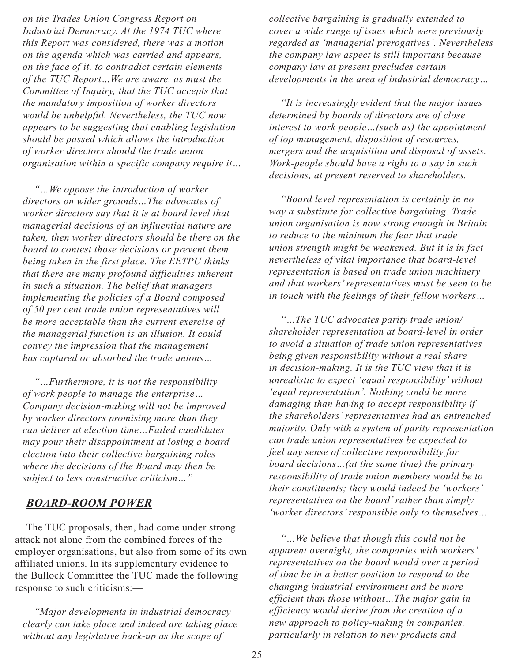*on the Trades Union Congress Report on Industrial Democracy. At the 1974 TUC where this Report was considered, there was a motion on the agenda which was carried and appears, on the face of it, to contradict certain elements of the TUC Report…We are aware, as must the Committee of Inquiry, that the TUC accepts that the mandatory imposition of worker directors would be unhelpful. Nevertheless, the TUC now appears to be suggesting that enabling legislation should be passed which allows the introduction of worker directors should the trade union organisation within a specific company require it…*

*"…We oppose the introduction of worker directors on wider grounds…The advocates of worker directors say that it is at board level that managerial decisions of an influential nature are taken, then worker directors should be there on the board to contest those decisions or prevent them being taken in the first place. The EETPU thinks that there are many profound difficulties inherent in such a situation. The belief that managers implementing the policies of a Board composed of 50 per cent trade union representatives will be more acceptable than the current exercise of the managerial function is an illusion. It could convey the impression that the management has captured or absorbed the trade unions…*

*"…Furthermore, it is not the responsibility of work people to manage the enterprise… Company decision-making will not be improved by worker directors promising more than they can deliver at election time…Failed candidates may pour their disappointment at losing a board election into their collective bargaining roles where the decisions of the Board may then be subject to less constructive criticism…"*

# *BOARD-ROOM POWER*

The TUC proposals, then, had come under strong attack not alone from the combined forces of the employer organisations, but also from some of its own affiliated unions. In its supplementary evidence to the Bullock Committee the TUC made the following response to such criticisms:—

*"Major developments in industrial democracy clearly can take place and indeed are taking place without any legislative back-up as the scope of* 

*collective bargaining is gradually extended to cover a wide range of isues which were previously regarded as 'managerial prerogatives'. Nevertheless the company law aspect is still important because company law at present precludes certain developments in the area of industrial democracy…*

*"It is increasingly evident that the major issues determined by boards of directors are of close interest to work people…(such as) the appointment of top management, disposition of resources, mergers and the acquisition and disposal of assets. Work-people should have a right to a say in such decisions, at present reserved to shareholders.*

*"Board level representation is certainly in no way a substitute for collective bargaining. Trade union organisation is now strong enough in Britain to reduce to the minimum the fear that trade union strength might be weakened. But it is in fact nevertheless of vital importance that board-level representation is based on trade union machinery and that workers' representatives must be seen to be in touch with the feelings of their fellow workers…*

*"…The TUC advocates parity trade union/ shareholder representation at board-level in order to avoid a situation of trade union representatives being given responsibility without a real share in decision-making. It is the TUC view that it is unrealistic to expect 'equal responsibility' without 'equal representation'. Nothing could be more damaging than having to accept responsibility if the shareholders' representatives had an entrenched majority. Only with a system of parity representation can trade union representatives be expected to feel any sense of collective responsibility for board decisions…(at the same time) the primary responsibility of trade union members would be to their constituents; they would indeed be 'workers' representatives on the board' rather than simply 'worker directors' responsible only to themselves…*

*"…We believe that though this could not be apparent overnight, the companies with workers' representatives on the board would over a period of time be in a better position to respond to the changing industrial environment and be more efficient than those without…The major gain in efficiency would derive from the creation of a new approach to policy-making in companies, particularly in relation to new products and*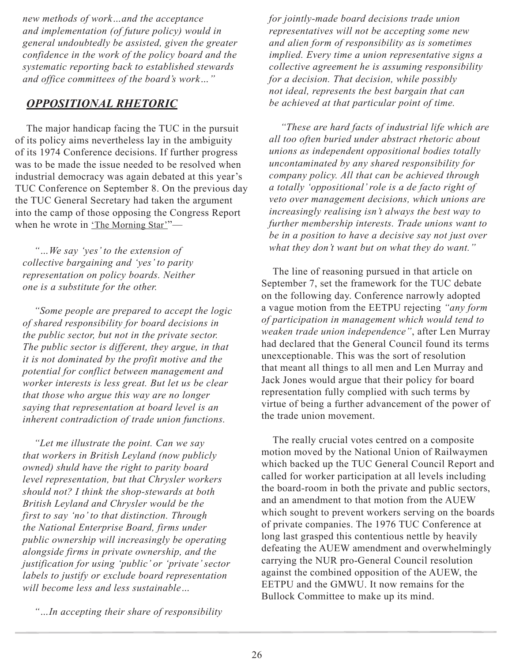*new methods of work…and the acceptance and implementation (of future policy) would in general undoubtedly be assisted, given the greater confidence in the work of the policy board and the systematic reporting back to established stewards and office committees of the board's work…"*

# *OPPOSITIONAL RHETORIC*

The major handicap facing the TUC in the pursuit of its policy aims nevertheless lay in the ambiguity of its 1974 Conference decisions. If further progress was to be made the issue needed to be resolved when industrial democracy was again debated at this year's TUC Conference on September 8. On the previous day the TUC General Secretary had taken the argument into the camp of those opposing the Congress Report when he wrote in 'The Morning Star'"—

*"…We say 'yes' to the extension of collective bargaining and 'yes' to parity representation on policy boards. Neither one is a substitute for the other.*

*"Some people are prepared to accept the logic of shared responsibility for board decisions in the public sector, but not in the private sector. The public sector is different, they argue, in that it is not dominated by the profit motive and the potential for conflict between management and worker interests is less great. But let us be clear that those who argue this way are no longer saying that representation at board level is an inherent contradiction of trade union functions.*

*"Let me illustrate the point. Can we say that workers in British Leyland (now publicly owned) shuld have the right to parity board level representation, but that Chrysler workers should not? I think the shop-stewards at both British Leyland and Chrysler would be the first to say 'no' to that distinction. Through the National Enterprise Board, firms under public ownership will increasingly be operating alongside firms in private ownership, and the justification for using 'public' or 'private' sector labels to justify or exclude board representation will become less and less sustainable…*

*"…In accepting their share of responsibility* 

*for jointly-made board decisions trade union representatives will not be accepting some new and alien form of responsibility as is sometimes implied. Every time a union representative signs a collective agreement he is assuming responsibility for a decision. That decision, while possibly not ideal, represents the best bargain that can be achieved at that particular point of time.*

*"These are hard facts of industrial life which are all too often buried under abstract rhetoric about unions as independent oppositional bodies totally uncontaminated by any shared responsibility for company policy. All that can be achieved through a totally 'oppositional' role is a de facto right of veto over management decisions, which unions are increasingly realising isn't always the best way to further membership interests. Trade unions want to be in a position to have a decisive say not just over what they don't want but on what they do want."*

The line of reasoning pursued in that article on September 7, set the framework for the TUC debate on the following day. Conference narrowly adopted a vague motion from the EETPU rejecting *"any form of participation in management which would tend to weaken trade union independence"*, after Len Murray had declared that the General Council found its terms unexceptionable. This was the sort of resolution that meant all things to all men and Len Murray and Jack Jones would argue that their policy for board representation fully complied with such terms by virtue of being a further advancement of the power of the trade union movement.

The really crucial votes centred on a composite motion moved by the National Union of Railwaymen which backed up the TUC General Council Report and called for worker participation at all levels including the board-room in both the private and public sectors, and an amendment to that motion from the AUEW which sought to prevent workers serving on the boards of private companies. The 1976 TUC Conference at long last grasped this contentious nettle by heavily defeating the AUEW amendment and overwhelmingly carrying the NUR pro-General Council resolution against the combined opposition of the AUEW, the EETPU and the GMWU. It now remains for the Bullock Committee to make up its mind.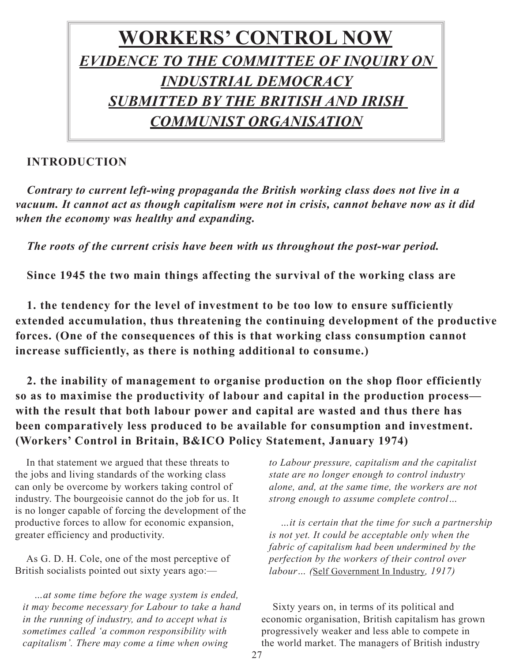# <span id="page-26-0"></span>**Workers' Control Now** *Evidence To The Committee Of Inquiry On Industrial Democracy Submitted By The British And Irish Communist Organisation*

# **INTRODUCTION**

*Contrary to current left-wing propaganda the British working class does not live in a vacuum. It cannot act as though capitalism were not in crisis, cannot behave now as it did when the economy was healthy and expanding.*

*The roots of the current crisis have been with us throughout the post-war period.*

**Since 1945 the two main things affecting the survival of the working class are**

**1. the tendency for the level of investment to be too low to ensure sufficiently extended accumulation, thus threatening the continuing development of the productive forces. (One of the consequences of this is that working class consumption cannot increase sufficiently, as there is nothing additional to consume.)**

**2. the inability of management to organise production on the shop floor efficiently so as to maximise the productivity of labour and capital in the production process with the result that both labour power and capital are wasted and thus there has been comparatively less produced to be available for consumption and investment. (Workers' Control in Britain, B&ICO Policy Statement, January 1974)**

In that statement we argued that these threats to the jobs and living standards of the working class can only be overcome by workers taking control of industry. The bourgeoisie cannot do the job for us. It is no longer capable of forcing the development of the productive forces to allow for economic expansion, greater efficiency and productivity.

As G. D. H. Cole, one of the most perceptive of British socialists pointed out sixty years ago:—

*…at some time before the wage system is ended, it may become necessary for Labour to take a hand in the running of industry, and to accept what is sometimes called 'a common responsibility with capitalism'. There may come a time when owing* 

*to Labour pressure, capitalism and the capitalist state are no longer enough to control industry alone, and, at the same time, the workers are not strong enough to assume complete control…*

*…it is certain that the time for such a partnership is not yet. It could be acceptable only when the fabric of capitalism had been undermined by the perfection by the workers of their control over labour… (*Self Government In Industry*, 1917)*

Sixty years on, in terms of its political and economic organisation, British capitalism has grown progressively weaker and less able to compete in the world market. The managers of British industry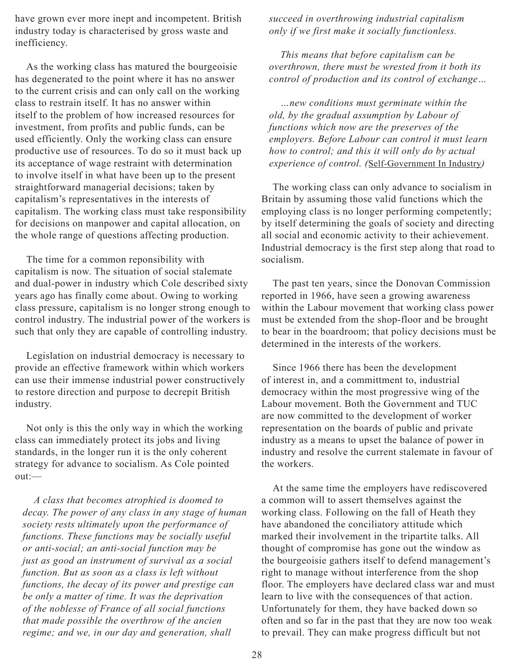have grown ever more inept and incompetent. British industry today is characterised by gross waste and inefficiency.

As the working class has matured the bourgeoisie has degenerated to the point where it has no answer to the current crisis and can only call on the working class to restrain itself. It has no answer within itself to the problem of how increased resources for investment, from profits and public funds, can be used efficiently. Only the working class can ensure productive use of resources. To do so it must back up its acceptance of wage restraint with determination to involve itself in what have been up to the present straightforward managerial decisions; taken by capitalism's representatives in the interests of capitalism. The working class must take responsibility for decisions on manpower and capital allocation, on the whole range of questions affecting production.

The time for a common reponsibility with capitalism is now. The situation of social stalemate and dual-power in industry which Cole described sixty years ago has finally come about. Owing to working class pressure, capitalism is no longer strong enough to control industry. The industrial power of the workers is such that only they are capable of controlling industry.

Legislation on industrial democracy is necessary to provide an effective framework within which workers can use their immense industrial power constructively to restore direction and purpose to decrepit British industry.

Not only is this the only way in which the working class can immediately protect its jobs and living standards, in the longer run it is the only coherent strategy for advance to socialism. As Cole pointed out:—

*A class that becomes atrophied is doomed to decay. The power of any class in any stage of human society rests ultimately upon the performance of functions. These functions may be socially useful or anti-social; an anti-social function may be just as good an instrument of survival as a social function. But as soon as a class is left without functions, the decay of its power and prestige can be only a matter of time. It was the deprivation of the noblesse of France of all social functions that made possible the overthrow of the ancien regime; and we, in our day and generation, shall* 

*succeed in overthrowing industrial capitalism only if we first make it socially functionless.*

*This means that before capitalism can be overthrown, there must be wrested from it both its control of production and its control of exchange…*

*…new conditions must germinate within the old, by the gradual assumption by Labour of functions which now are the preserves of the employers. Before Labour can control it must learn how to control; and this it will only do by actual experience of control. (*Self-Government In Industry*)*

The working class can only advance to socialism in Britain by assuming those valid functions which the employing class is no longer performing competently; by itself determining the goals of society and directing all social and economic activity to their achievement. Industrial democracy is the first step along that road to socialism.

The past ten years, since the Donovan Commission reported in 1966, have seen a growing awareness within the Labour movement that working class power must be extended from the shop-floor and be brought to bear in the boardroom; that policy decisions must be determined in the interests of the workers.

Since 1966 there has been the development of interest in, and a committment to, industrial democracy within the most progressive wing of the Labour movement. Both the Government and TUC are now committed to the development of worker representation on the boards of public and private industry as a means to upset the balance of power in industry and resolve the current stalemate in favour of the workers.

At the same time the employers have rediscovered a common will to assert themselves against the working class. Following on the fall of Heath they have abandoned the conciliatory attitude which marked their involvement in the tripartite talks. All thought of compromise has gone out the window as the bourgeoisie gathers itself to defend management's right to manage without interference from the shop floor. The employers have declared class war and must learn to live with the consequences of that action. Unfortunately for them, they have backed down so often and so far in the past that they are now too weak to prevail. They can make progress difficult but not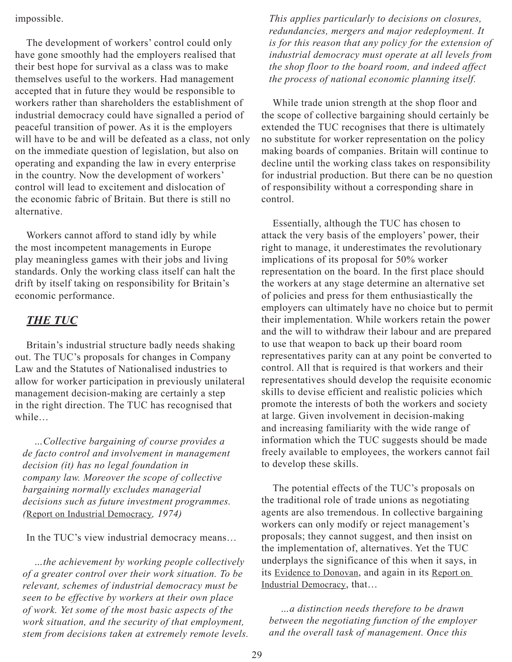#### impossible.

The development of workers' control could only have gone smoothly had the employers realised that their best hope for survival as a class was to make themselves useful to the workers. Had management accepted that in future they would be responsible to workers rather than shareholders the establishment of industrial democracy could have signalled a period of peaceful transition of power. As it is the employers will have to be and will be defeated as a class, not only on the immediate question of legislation, but also on operating and expanding the law in every enterprise in the country. Now the development of workers' control will lead to excitement and dislocation of the economic fabric of Britain. But there is still no alternative.

Workers cannot afford to stand idly by while the most incompetent managements in Europe play meaningless games with their jobs and living standards. Only the working class itself can halt the drift by itself taking on responsibility for Britain's economic performance.

# *THE TUC*

Britain's industrial structure badly needs shaking out. The TUC's proposals for changes in Company Law and the Statutes of Nationalised industries to allow for worker participation in previously unilateral management decision-making are certainly a step in the right direction. The TUC has recognised that while…

*…Collective bargaining of course provides a de facto control and involvement in management decision (it) has no legal foundation in company law. Moreover the scope of collective bargaining normally excludes managerial decisions such as future investment programmes. (*Report on Industrial Democracy*, 1974)*

In the TUC's view industrial democracy means…

*…the achievement by working people collectively of a greater control over their work situation. To be relevant, schemes of industrial democracy must be seen to be effective by workers at their own place of work. Yet some of the most basic aspects of the work situation, and the security of that employment, stem from decisions taken at extremely remote levels.* 

*This applies particularly to decisions on closures, redundancies, mergers and major redeployment. It is for this reason that any policy for the extension of industrial democracy must operate at all levels from the shop floor to the board room, and indeed affect the process of national economic planning itself.*

While trade union strength at the shop floor and the scope of collective bargaining should certainly be extended the TUC recognises that there is ultimately no substitute for worker representation on the policy making boards of companies. Britain will continue to decline until the working class takes on responsibility for industrial production. But there can be no question of responsibility without a corresponding share in control.

Essentially, although the TUC has chosen to attack the very basis of the employers' power, their right to manage, it underestimates the revolutionary implications of its proposal for 50% worker representation on the board. In the first place should the workers at any stage determine an alternative set of policies and press for them enthusiastically the employers can ultimately have no choice but to permit their implementation. While workers retain the power and the will to withdraw their labour and are prepared to use that weapon to back up their board room representatives parity can at any point be converted to control. All that is required is that workers and their representatives should develop the requisite economic skills to devise efficient and realistic policies which promote the interests of both the workers and society at large. Given involvement in decision-making and increasing familiarity with the wide range of information which the TUC suggests should be made freely available to employees, the workers cannot fail to develop these skills.

The potential effects of the TUC's proposals on the traditional role of trade unions as negotiating agents are also tremendous. In collective bargaining workers can only modify or reject management's proposals; they cannot suggest, and then insist on the implementation of, alternatives. Yet the TUC underplays the significance of this when it says, in its Evidence to Donovan, and again in its Report on Industrial Democracy, that…

*…a distinction needs therefore to be drawn between the negotiating function of the employer and the overall task of management. Once this*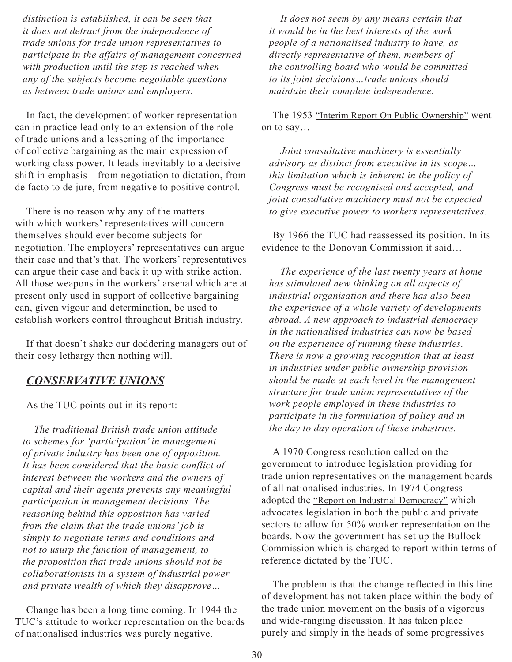*distinction is established, it can be seen that it does not detract from the independence of trade unions for trade union representatives to participate in the affairs of management concerned with production until the step is reached when any of the subjects become negotiable questions as between trade unions and employers.*

In fact, the development of worker representation can in practice lead only to an extension of the role of trade unions and a lessening of the importance of collective bargaining as the main expression of working class power. It leads inevitably to a decisive shift in emphasis—from negotiation to dictation, from de facto to de jure, from negative to positive control.

There is no reason why any of the matters with which workers' representatives will concern themselves should ever become subjects for negotiation. The employers' representatives can argue their case and that's that. The workers' representatives can argue their case and back it up with strike action. All those weapons in the workers' arsenal which are at present only used in support of collective bargaining can, given vigour and determination, be used to establish workers control throughout British industry.

If that doesn't shake our doddering managers out of their cosy lethargy then nothing will.

# *CONSERVATIVE UNIONS*

As the TUC points out in its report:—

*The traditional British trade union attitude to schemes for 'participation' in management of private industry has been one of opposition. It has been considered that the basic conflict of interest between the workers and the owners of capital and their agents prevents any meaningful participation in management decisions. The reasoning behind this opposition has varied from the claim that the trade unions' job is simply to negotiate terms and conditions and not to usurp the function of management, to the proposition that trade unions should not be collaborationists in a system of industrial power and private wealth of which they disapprove…*

Change has been a long time coming. In 1944 the TUC's attitude to worker representation on the boards of nationalised industries was purely negative.

*It does not seem by any means certain that it would be in the best interests of the work people of a nationalised industry to have, as directly representative of them, members of the controlling board who would be committed to its joint decisions…trade unions should maintain their complete independence.*

The 1953 "Interim Report On Public Ownership" went on to say…

*Joint consultative machinery is essentially advisory as distinct from executive in its scope… this limitation which is inherent in the policy of Congress must be recognised and accepted, and joint consultative machinery must not be expected to give executive power to workers representatives.*

By 1966 the TUC had reassessed its position. In its evidence to the Donovan Commission it said…

*The experience of the last twenty years at home has stimulated new thinking on all aspects of industrial organisation and there has also been the experience of a whole variety of developments abroad. A new approach to industrial democracy in the nationalised industries can now be based on the experience of running these industries. There is now a growing recognition that at least in industries under public ownership provision should be made at each level in the management structure for trade union representatives of the work people employed in these industries to participate in the formulation of policy and in the day to day operation of these industries.*

A 1970 Congress resolution called on the government to introduce legislation providing for trade union representatives on the management boards of all nationalised industries. In 1974 Congress adopted the "Report on Industrial Democracy" which advocates legislation in both the public and private sectors to allow for 50% worker representation on the boards. Now the government has set up the Bullock Commission which is charged to report within terms of reference dictated by the TUC.

The problem is that the change reflected in this line of development has not taken place within the body of the trade union movement on the basis of a vigorous and wide-ranging discussion. It has taken place purely and simply in the heads of some progressives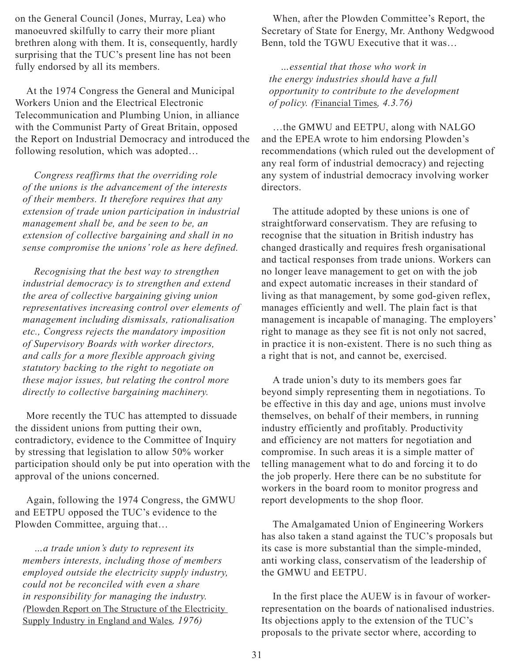on the General Council (Jones, Murray, Lea) who manoeuvred skilfully to carry their more pliant brethren along with them. It is, consequently, hardly surprising that the TUC's present line has not been fully endorsed by all its members.

At the 1974 Congress the General and Municipal Workers Union and the Electrical Electronic Telecommunication and Plumbing Union, in alliance with the Communist Party of Great Britain, opposed the Report on Industrial Democracy and introduced the following resolution, which was adopted…

*Congress reaffirms that the overriding role of the unions is the advancement of the interests of their members. It therefore requires that any extension of trade union participation in industrial management shall be, and be seen to be, an extension of collective bargaining and shall in no sense compromise the unions' role as here defined.*

*Recognising that the best way to strengthen industrial democracy is to strengthen and extend the area of collective bargaining giving union representatives increasing control over elements of management including dismissals, rationalisation etc., Congress rejects the mandatory imposition of Supervisory Boards with worker directors, and calls for a more flexible approach giving statutory backing to the right to negotiate on these major issues, but relating the control more directly to collective bargaining machinery.*

More recently the TUC has attempted to dissuade the dissident unions from putting their own, contradictory, evidence to the Committee of Inquiry by stressing that legislation to allow 50% worker participation should only be put into operation with the approval of the unions concerned.

Again, following the 1974 Congress, the GMWU and EETPU opposed the TUC's evidence to the Plowden Committee, arguing that…

*…a trade union's duty to represent its members interests, including those of members employed outside the electricity supply industry, could not be reconciled with even a share in responsibility for managing the industry. (*Plowden Report on The Structure of the Electricity Supply Industry in England and Wales*, 1976)*

When, after the Plowden Committee's Report, the Secretary of State for Energy, Mr. Anthony Wedgwood Benn, told the TGWU Executive that it was…

*…essential that those who work in the energy industries should have a full opportunity to contribute to the development of policy. (*Financial Times*, 4.3.76)*

…the GMWU and EETPU, along with NALGO and the EPEA wrote to him endorsing Plowden's recommendations (which ruled out the development of any real form of industrial democracy) and rejecting any system of industrial democracy involving worker directors.

The attitude adopted by these unions is one of straightforward conservatism. They are refusing to recognise that the situation in British industry has changed drastically and requires fresh organisational and tactical responses from trade unions. Workers can no longer leave management to get on with the job and expect automatic increases in their standard of living as that management, by some god-given reflex, manages efficiently and well. The plain fact is that management is incapable of managing. The employers' right to manage as they see fit is not only not sacred, in practice it is non-existent. There is no such thing as a right that is not, and cannot be, exercised.

A trade union's duty to its members goes far beyond simply representing them in negotiations. To be effective in this day and age, unions must involve themselves, on behalf of their members, in running industry efficiently and profitably. Productivity and efficiency are not matters for negotiation and compromise. In such areas it is a simple matter of telling management what to do and forcing it to do the job properly. Here there can be no substitute for workers in the board room to monitor progress and report developments to the shop floor.

The Amalgamated Union of Engineering Workers has also taken a stand against the TUC's proposals but its case is more substantial than the simple-minded, anti working class, conservatism of the leadership of the GMWU and EETPU.

In the first place the AUEW is in favour of workerrepresentation on the boards of nationalised industries. Its objections apply to the extension of the TUC's proposals to the private sector where, according to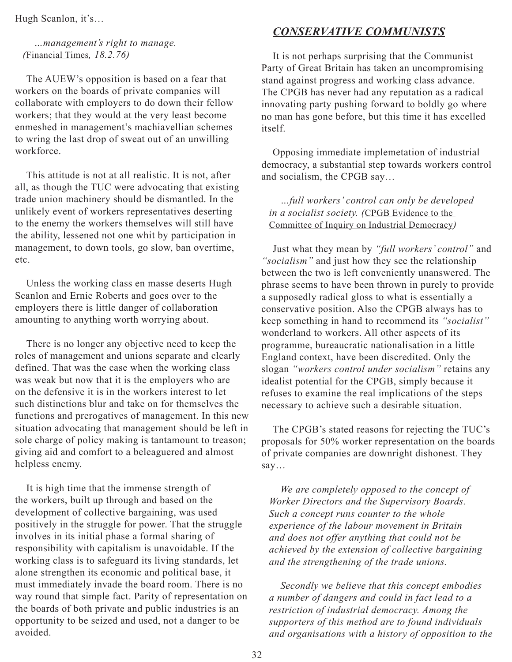Hugh Scanlon, it's…

*…management's right to manage. (*Financial Times*, 18.2.76)*

The AUEW's opposition is based on a fear that workers on the boards of private companies will collaborate with employers to do down their fellow workers; that they would at the very least become enmeshed in management's machiavellian schemes to wring the last drop of sweat out of an unwilling workforce.

This attitude is not at all realistic. It is not, after all, as though the TUC were advocating that existing trade union machinery should be dismantled. In the unlikely event of workers representatives deserting to the enemy the workers themselves will still have the ability, lessened not one whit by participation in management, to down tools, go slow, ban overtime, etc.

Unless the working class en masse deserts Hugh Scanlon and Ernie Roberts and goes over to the employers there is little danger of collaboration amounting to anything worth worrying about.

There is no longer any objective need to keep the roles of management and unions separate and clearly defined. That was the case when the working class was weak but now that it is the employers who are on the defensive it is in the workers interest to let such distinctions blur and take on for themselves the functions and prerogatives of management. In this new situation advocating that management should be left in sole charge of policy making is tantamount to treason; giving aid and comfort to a beleaguered and almost helpless enemy.

It is high time that the immense strength of the workers, built up through and based on the development of collective bargaining, was used positively in the struggle for power. That the struggle involves in its initial phase a formal sharing of responsibility with capitalism is unavoidable. If the working class is to safeguard its living standards, let alone strengthen its economic and political base, it must immediately invade the board room. There is no way round that simple fact. Parity of representation on the boards of both private and public industries is an opportunity to be seized and used, not a danger to be avoided.

# *CONSERVATIVE COMMUNISTS*

It is not perhaps surprising that the Communist Party of Great Britain has taken an uncompromising stand against progress and working class advance. The CPGB has never had any reputation as a radical innovating party pushing forward to boldly go where no man has gone before, but this time it has excelled itself.

Opposing immediate implemetation of industrial democracy, a substantial step towards workers control and socialism, the CPGB say…

*…full workers' control can only be developed in a socialist society. (*CPGB Evidence to the Committee of Inquiry on Industrial Democracy*)*

Just what they mean by *"full workers' control"* and *"socialism"* and just how they see the relationship between the two is left conveniently unanswered. The phrase seems to have been thrown in purely to provide a supposedly radical gloss to what is essentially a conservative position. Also the CPGB always has to keep something in hand to recommend its *"socialist"* wonderland to workers. All other aspects of its programme, bureaucratic nationalisation in a little England context, have been discredited. Only the slogan *"workers control under socialism"* retains any idealist potential for the CPGB, simply because it refuses to examine the real implications of the steps necessary to achieve such a desirable situation.

The CPGB's stated reasons for rejecting the TUC's proposals for 50% worker representation on the boards of private companies are downright dishonest. They say…

*We are completely opposed to the concept of Worker Directors and the Supervisory Boards. Such a concept runs counter to the whole experience of the labour movement in Britain and does not offer anything that could not be achieved by the extension of collective bargaining and the strengthening of the trade unions.*

*Secondly we believe that this concept embodies a number of dangers and could in fact lead to a restriction of industrial democracy. Among the supporters of this method are to found individuals and organisations with a history of opposition to the*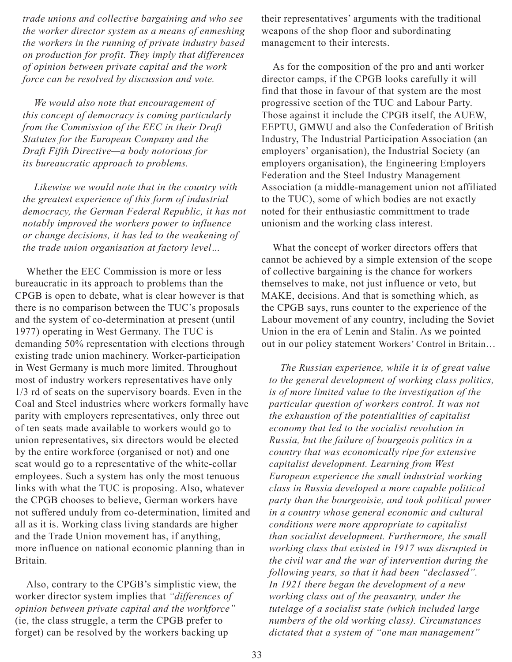*trade unions and collective bargaining and who see the worker director system as a means of enmeshing the workers in the running of private industry based on production for profit. They imply that differences of opinion between private capital and the work force can be resolved by discussion and vote.*

*We would also note that encouragement of this concept of democracy is coming particularly from the Commission of the EEC in their Draft Statutes for the European Company and the Draft Fifth Directive—a body notorious for its bureaucratic approach to problems.*

*Likewise we would note that in the country with the greatest experience of this form of industrial democracy, the German Federal Republic, it has not notably improved the workers power to influence or change decisions, it has led to the weakening of the trade union organisation at factory level…*

Whether the EEC Commission is more or less bureaucratic in its approach to problems than the CPGB is open to debate, what is clear however is that there is no comparison between the TUC's proposals and the system of co-determination at present (until 1977) operating in West Germany. The TUC is demanding 50% representation with elections through existing trade union machinery. Worker-participation in West Germany is much more limited. Throughout most of industry workers representatives have only 1/3 rd of seats on the supervisory boards. Even in the Coal and Steel industries where workers formally have parity with employers representatives, only three out of ten seats made available to workers would go to union representatives, six directors would be elected by the entire workforce (organised or not) and one seat would go to a representative of the white-collar employees. Such a system has only the most tenuous links with what the TUC is proposing. Also, whatever the CPGB chooses to believe, German workers have not suffered unduly from co-determination, limited and all as it is. Working class living standards are higher and the Trade Union movement has, if anything, more influence on national economic planning than in Britain.

Also, contrary to the CPGB's simplistic view, the worker director system implies that *"differences of opinion between private capital and the workforce"* (ie, the class struggle, a term the CPGB prefer to forget) can be resolved by the workers backing up

their representatives' arguments with the traditional weapons of the shop floor and subordinating management to their interests.

As for the composition of the pro and anti worker director camps, if the CPGB looks carefully it will find that those in favour of that system are the most progressive section of the TUC and Labour Party. Those against it include the CPGB itself, the AUEW, EEPTU, GMWU and also the Confederation of British Industry, The Industrial Participation Association (an employers' organisation), the Industrial Society (an employers organisation), the Engineering Employers Federation and the Steel Industry Management Association (a middle-management union not affiliated to the TUC), some of which bodies are not exactly noted for their enthusiastic committment to trade unionism and the working class interest.

What the concept of worker directors offers that cannot be achieved by a simple extension of the scope of collective bargaining is the chance for workers themselves to make, not just influence or veto, but MAKE, decisions. And that is something which, as the CPGB says, runs counter to the experience of the Labour movement of any country, including the Soviet Union in the era of Lenin and Stalin. As we pointed out in our policy statement Workers' Control in Britain…

*The Russian experience, while it is of great value to the general development of working class politics, is of more limited value to the investigation of the particular question of workers control. It was not the exhaustion of the potentialities of capitalist economy that led to the socialist revolution in Russia, but the failure of bourgeois politics in a country that was economically ripe for extensive capitalist development. Learning from West European experience the small industrial working class in Russia developed a more capable political party than the bourgeoisie, and took political power in a country whose general economic and cultural conditions were more appropriate to capitalist than socialist development. Furthermore, the small working class that existed in 1917 was disrupted in the civil war and the war of intervention during the following years, so that it had been "declassed". In 1921 there began the development of a new working class out of the peasantry, under the tutelage of a socialist state (which included large numbers of the old working class). Circumstances dictated that a system of "one man management"*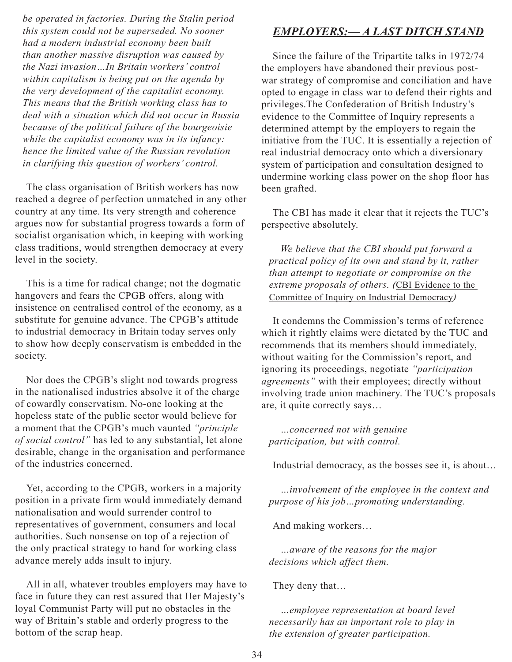*be operated in factories. During the Stalin period this system could not be superseded. No sooner had a modern industrial economy been built than another massive disruption was caused by the Nazi invasion…In Britain workers' control within capitalism is being put on the agenda by the very development of the capitalist economy. This means that the British working class has to deal with a situation which did not occur in Russia because of the political failure of the bourgeoisie while the capitalist economy was in its infancy: hence the limited value of the Russian revolution in clarifying this question of workers' control.*

The class organisation of British workers has now reached a degree of perfection unmatched in any other country at any time. Its very strength and coherence argues now for substantial progress towards a form of socialist organisation which, in keeping with working class traditions, would strengthen democracy at every level in the society.

This is a time for radical change; not the dogmatic hangovers and fears the CPGB offers, along with insistence on centralised control of the economy, as a substitute for genuine advance. The CPGB's attitude to industrial democracy in Britain today serves only to show how deeply conservatism is embedded in the society.

Nor does the CPGB's slight nod towards progress in the nationalised industries absolve it of the charge of cowardly conservatism. No-one looking at the hopeless state of the public sector would believe for a moment that the CPGB's much vaunted *"principle of social control"* has led to any substantial, let alone desirable, change in the organisation and performance of the industries concerned.

Yet, according to the CPGB, workers in a majority position in a private firm would immediately demand nationalisation and would surrender control to representatives of government, consumers and local authorities. Such nonsense on top of a rejection of the only practical strategy to hand for working class advance merely adds insult to injury.

All in all, whatever troubles employers may have to face in future they can rest assured that Her Majesty's loyal Communist Party will put no obstacles in the way of Britain's stable and orderly progress to the bottom of the scrap heap.

# *EMPLOYERS:— A LAST DITCH STAND*

Since the failure of the Tripartite talks in 1972/74 the employers have abandoned their previous postwar strategy of compromise and conciliation and have opted to engage in class war to defend their rights and privileges.The Confederation of British Industry's evidence to the Committee of Inquiry represents a determined attempt by the employers to regain the initiative from the TUC. It is essentially a rejection of real industrial democracy onto which a diversionary system of participation and consultation designed to undermine working class power on the shop floor has been grafted.

The CBI has made it clear that it rejects the TUC's perspective absolutely.

*We believe that the CBI should put forward a practical policy of its own and stand by it, rather than attempt to negotiate or compromise on the extreme proposals of others. (*CBI Evidence to the Committee of Inquiry on Industrial Democracy*)*

It condemns the Commission's terms of reference which it rightly claims were dictated by the TUC and recommends that its members should immediately, without waiting for the Commission's report, and ignoring its proceedings, negotiate *"participation agreements"* with their employees; directly without involving trade union machinery. The TUC's proposals are, it quite correctly says…

*…concerned not with genuine participation, but with control.*

Industrial democracy, as the bosses see it, is about…

*…involvement of the employee in the context and purpose of his job…promoting understanding.*

And making workers…

*…aware of the reasons for the major decisions which affect them.*

They deny that…

*…employee representation at board level necessarily has an important role to play in the extension of greater participation.*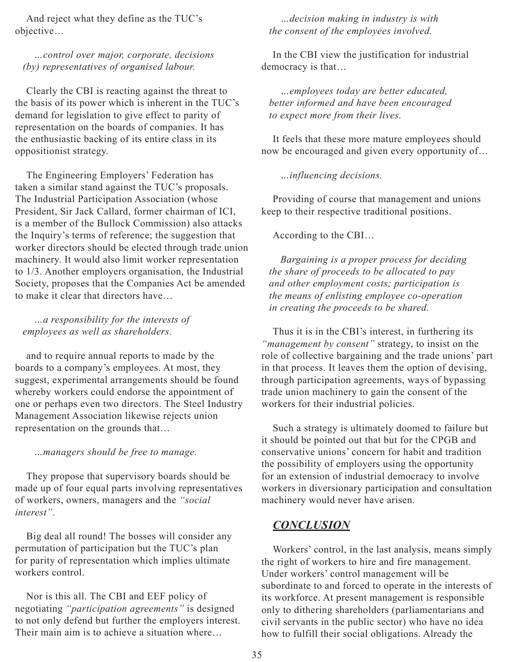And reject what they define as the TUC's objective…

# *…control over major, corporate, decisions (by) representatives of organised labour.*

Clearly the CBI is reacting against the threat to the basis of its power which is inherent in the TUC's demand for legislation to give effect to parity of representation on the boards of companies. It has the enthusiastic backing of its entire class in its oppositionist strategy.

The Engineering Employers' Federation has taken a similar stand against the TUC's proposals. The Industrial Participation Association (whose President, Sir Jack Callard, former chairman of ICI, is a member of the Bullock Commission) also attacks the Inquiry's terms of reference; the suggestion that worker directors should be elected through trade union machinery. It would also limit worker representation to 1/3. Another employers organisation, the Industrial Society, proposes that the Companies Act be amended to make it clear that directors have…

*…a responsibility for the interests of employees as well as shareholders.*

and to require annual reports to made by the boards to a company's employees. At most, they suggest, experimental arrangements should be found whereby workers could endorse the appointment of one or perhaps even two directors. The Steel Industry Management Association likewise rejects union representation on the grounds that…

*…managers should be free to manage.*

They propose that supervisory boards should be made up of four equal parts involving representatives of workers, owners, managers and the *"social interest"*.

Big deal all round! The bosses will consider any permutation of participation but the TUC's plan for parity of representation which implies ultimate workers control.

Nor is this all. The CBI and EEF policy of negotiating *"participation agreements"* is designed to not only defend but further the employers interest. Their main aim is to achieve a situation where…

#### *…decision making in industry is with the consent of the employees involved.*

In the CBI view the justification for industrial democracy is that…

*…employees today are better educated, better informed and have been encouraged to expect more from their lives.*

It feels that these more mature employees should now be encouraged and given every opportunity of…

*…influencing decisions.*

Providing of course that management and unions keep to their respective traditional positions.

According to the CBI…

*Bargaining is a proper process for deciding the share of proceeds to be allocated to pay and other employment costs; participation is the means of enlisting employee co-operation in creating the proceeds to be shared.*

Thus it is in the CBI's interest, in furthering its *"management by consent"* strategy, to insist on the role of collective bargaining and the trade unions' part in that process. It leaves them the option of devising, through participation agreements, ways of bypassing trade union machinery to gain the consent of the workers for their industrial policies.

Such a strategy is ultimately doomed to failure but it should be pointed out that but for the CPGB and conservative unions' concern for habit and tradition the possibility of employers using the opportunity for an extension of industrial democracy to involve workers in diversionary participation and consultation machinery would never have arisen.

# *CONCLUSION*

Workers' control, in the last analysis, means simply the right of workers to hire and fire management. Under workers' control management will be subordinate to and forced to operate in the interests of its workforce. At present management is responsible only to dithering shareholders (parliamentarians and civil servants in the public sector) who have no idea how to fulfill their social obligations. Already the